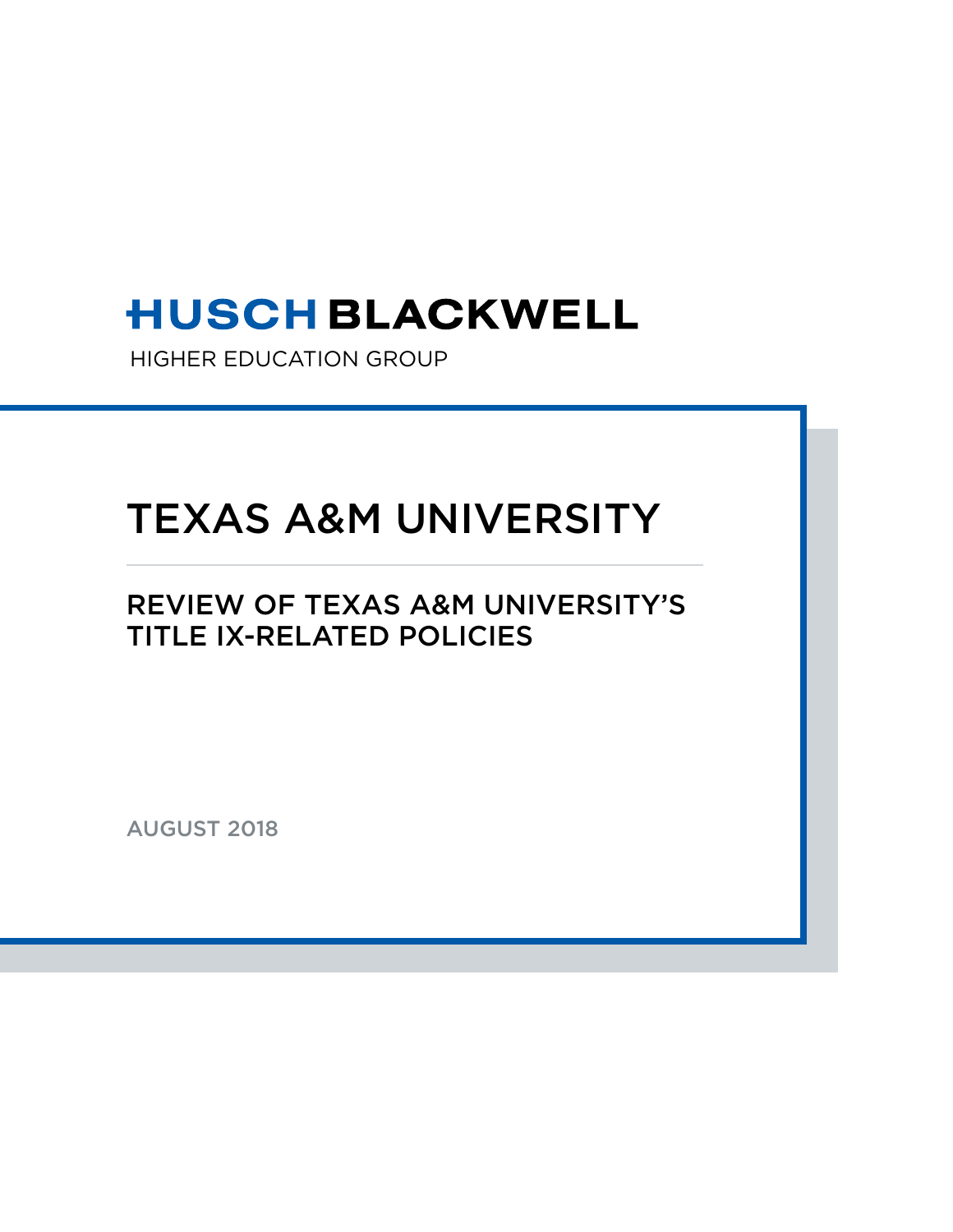# **HUSCH BLACKWELL**

HIGHER EDUCATION GROUP

# TEXAS A&M UNIVERSITY

## REVIEW OF TEXAS A&M UNIVERSITY'S TITLE IX-RELATED POLICIES

AUGUST 2018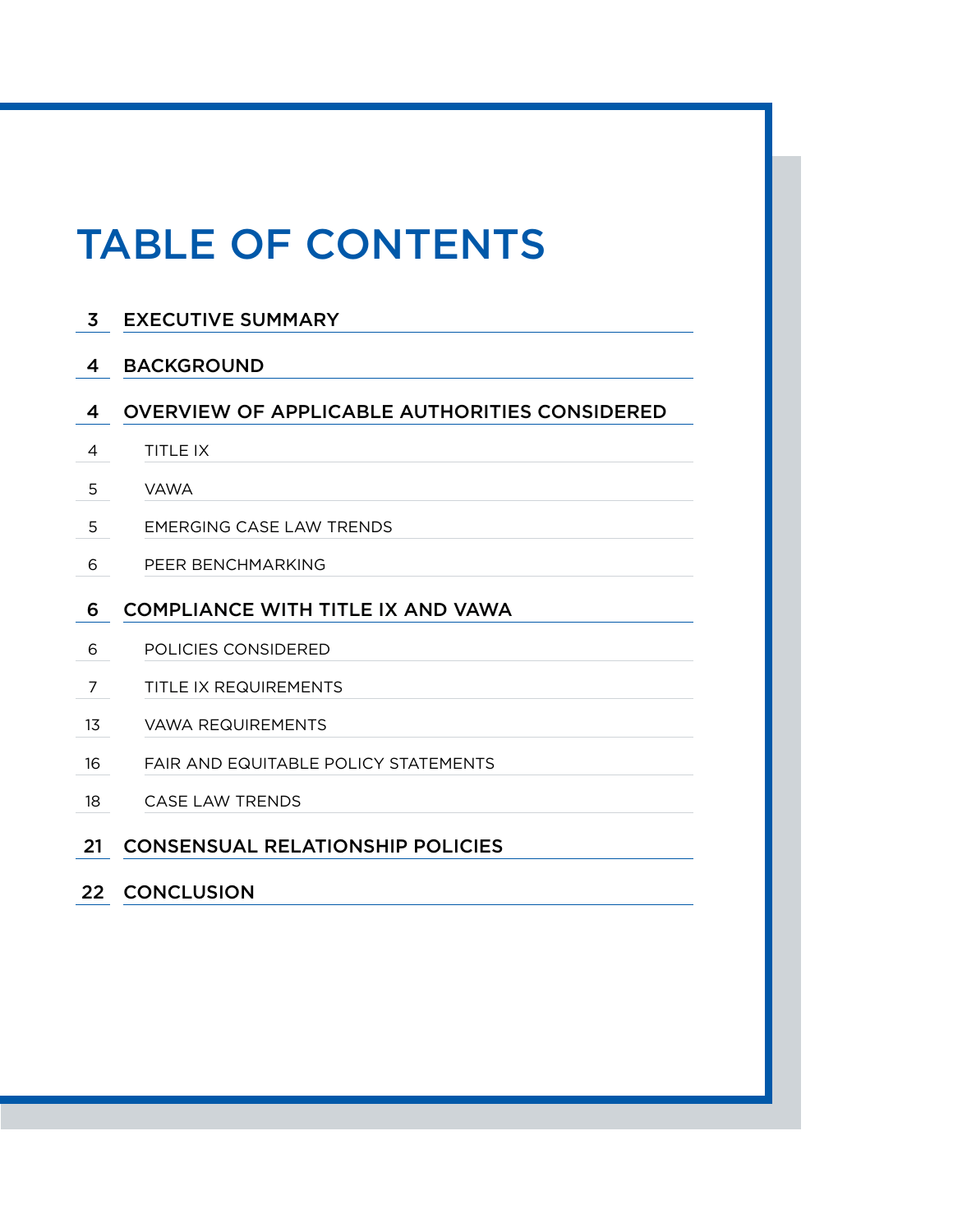# TABLE OF CONTENTS

| $\overline{\mathbf{3}}$ | <b>EXECUTIVE SUMMARY</b>                             |
|-------------------------|------------------------------------------------------|
| 4                       | <b>BACKGROUND</b>                                    |
| 4                       | <b>OVERVIEW OF APPLICABLE AUTHORITIES CONSIDERED</b> |
| 4                       | TITLE IX                                             |
| 5                       | <b>VAWA</b>                                          |
| 5                       | <b>EMERGING CASE LAW TRENDS</b>                      |
| 6                       | PEER BENCHMARKING                                    |
| 6                       | <b>COMPLIANCE WITH TITLE IX AND VAWA</b>             |
| 6                       | POLICIES CONSIDERED                                  |
| 7                       | TITLE IX REQUIREMENTS                                |
| 13                      | VAWA REQUIREMENTS                                    |
| 16                      | <b>FAIR AND EQUITABLE POLICY STATEMENTS</b>          |
| 18                      | CASE LAW TRENDS                                      |
| 21                      | <b>CONSENSUAL RELATIONSHIP POLICIES</b>              |
| 22 <sub>2</sub>         | <b>CONCLUSION</b>                                    |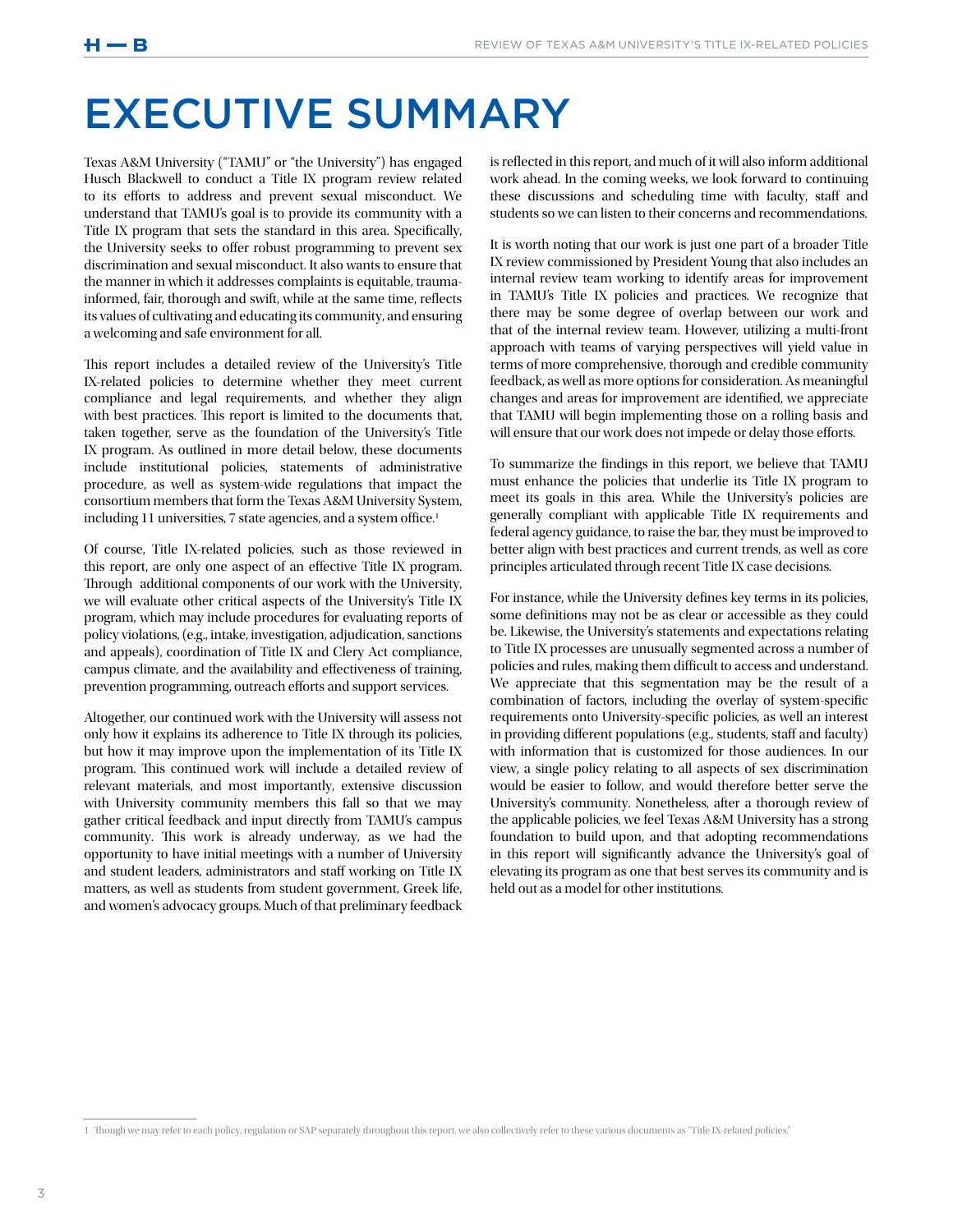## EXECUTIVE SUMMARY

Texas A&M University ("TAMU" or "the University") has engaged Husch Blackwell to conduct a Title IX program review related to its efforts to address and prevent sexual misconduct. We understand that TAMU's goal is to provide its community with a Title IX program that sets the standard in this area. Specifically, the University seeks to offer robust programming to prevent sex discrimination and sexual misconduct. It also wants to ensure that the manner in which it addresses complaints is equitable, traumainformed, fair, thorough and swift, while at the same time, reflects its values of cultivating and educating its community, and ensuring a welcoming and safe environment for all.

This report includes a detailed review of the University's Title IX-related policies to determine whether they meet current compliance and legal requirements, and whether they align with best practices. This report is limited to the documents that, taken together, serve as the foundation of the University's Title IX program. As outlined in more detail below, these documents include institutional policies, statements of administrative procedure, as well as system-wide regulations that impact the consortium members that form the Texas A&M University System, including 11 universities, 7 state agencies, and a system office.<sup>1</sup>

Of course, Title IX-related policies, such as those reviewed in this report, are only one aspect of an effective Title IX program. Through additional components of our work with the University, we will evaluate other critical aspects of the University's Title IX program, which may include procedures for evaluating reports of policy violations, (e.g., intake, investigation, adjudication, sanctions and appeals), coordination of Title IX and Clery Act compliance, campus climate, and the availability and effectiveness of training, prevention programming, outreach efforts and support services.

Altogether, our continued work with the University will assess not only how it explains its adherence to Title IX through its policies, but how it may improve upon the implementation of its Title IX program. This continued work will include a detailed review of relevant materials, and most importantly, extensive discussion with University community members this fall so that we may gather critical feedback and input directly from TAMU's campus community. This work is already underway, as we had the opportunity to have initial meetings with a number of University and student leaders, administrators and staff working on Title IX matters, as well as students from student government, Greek life, and women's advocacy groups. Much of that preliminary feedback is reflected in this report, and much of it will also inform additional work ahead. In the coming weeks, we look forward to continuing these discussions and scheduling time with faculty, staff and students so we can listen to their concerns and recommendations.

It is worth noting that our work is just one part of a broader Title IX review commissioned by President Young that also includes an internal review team working to identify areas for improvement in TAMU's Title IX policies and practices. We recognize that there may be some degree of overlap between our work and that of the internal review team. However, utilizing a multi-front approach with teams of varying perspectives will yield value in terms of more comprehensive, thorough and credible community feedback, as well as more options for consideration. As meaningful changes and areas for improvement are identified, we appreciate that TAMU will begin implementing those on a rolling basis and will ensure that our work does not impede or delay those efforts.

To summarize the findings in this report, we believe that TAMU must enhance the policies that underlie its Title IX program to meet its goals in this area. While the University's policies are generally compliant with applicable Title IX requirements and federal agency guidance, to raise the bar, they must be improved to better align with best practices and current trends, as well as core principles articulated through recent Title IX case decisions.

For instance, while the University defines key terms in its policies, some definitions may not be as clear or accessible as they could be. Likewise, the University's statements and expectations relating to Title IX processes are unusually segmented across a number of policies and rules, making them difficult to access and understand. We appreciate that this segmentation may be the result of a combination of factors, including the overlay of system-specific requirements onto University-specific policies, as well an interest in providing different populations (e.g., students, staff and faculty) with information that is customized for those audiences. In our view, a single policy relating to all aspects of sex discrimination would be easier to follow, and would therefore better serve the University's community. Nonetheless, after a thorough review of the applicable policies, we feel Texas A&M University has a strong foundation to build upon, and that adopting recommendations in this report will significantly advance the University's goal of elevating its program as one that best serves its community and is held out as a model for other institutions.

<sup>1</sup> Though we may refer to each policy, regulation or SAP separately throughout this report, we also collectively refer to these various documents as "Title IX-related policies."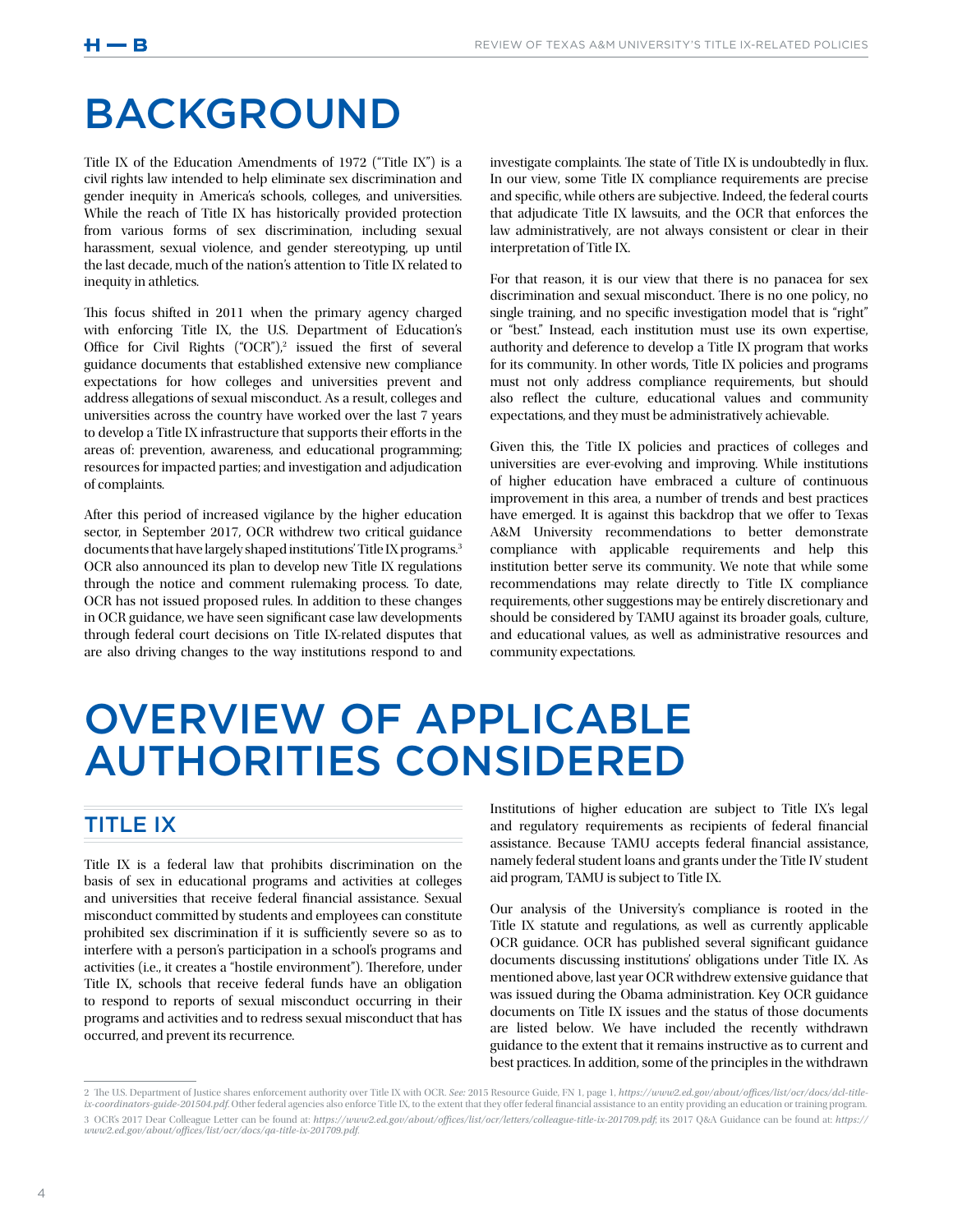## BACKGROUND

Title IX of the Education Amendments of 1972 ("Title IX") is a civil rights law intended to help eliminate sex discrimination and gender inequity in America's schools, colleges, and universities. While the reach of Title IX has historically provided protection from various forms of sex discrimination, including sexual harassment, sexual violence, and gender stereotyping, up until the last decade, much of the nation's attention to Title IX related to inequity in athletics.

This focus shifted in 2011 when the primary agency charged with enforcing Title IX, the U.S. Department of Education's Office for Civil Rights  $(^{\circ}OCR")$ ,<sup>2</sup> issued the first of several guidance documents that established extensive new compliance expectations for how colleges and universities prevent and address allegations of sexual misconduct. As a result, colleges and universities across the country have worked over the last 7 years to develop a Title IX infrastructure that supports their efforts in the areas of: prevention, awareness, and educational programming; resources for impacted parties; and investigation and adjudication of complaints.

After this period of increased vigilance by the higher education sector, in September 2017, OCR withdrew two critical guidance documents that have largely shaped institutions' Title IX programs.3 OCR also announced its plan to develop new Title IX regulations through the notice and comment rulemaking process. To date, OCR has not issued proposed rules. In addition to these changes in OCR guidance, we have seen significant case law developments through federal court decisions on Title IX-related disputes that are also driving changes to the way institutions respond to and investigate complaints. The state of Title IX is undoubtedly in flux. In our view, some Title IX compliance requirements are precise and specific, while others are subjective. Indeed, the federal courts that adjudicate Title IX lawsuits, and the OCR that enforces the law administratively, are not always consistent or clear in their interpretation of Title IX.

For that reason, it is our view that there is no panacea for sex discrimination and sexual misconduct. There is no one policy, no single training, and no specific investigation model that is "right" or "best." Instead, each institution must use its own expertise, authority and deference to develop a Title IX program that works for its community. In other words, Title IX policies and programs must not only address compliance requirements, but should also reflect the culture, educational values and community expectations, and they must be administratively achievable.

Given this, the Title IX policies and practices of colleges and universities are ever-evolving and improving. While institutions of higher education have embraced a culture of continuous improvement in this area, a number of trends and best practices have emerged. It is against this backdrop that we offer to Texas A&M University recommendations to better demonstrate compliance with applicable requirements and help this institution better serve its community. We note that while some recommendations may relate directly to Title IX compliance requirements, other suggestions may be entirely discretionary and should be considered by TAMU against its broader goals, culture, and educational values, as well as administrative resources and community expectations.

## OVERVIEW OF APPLICABLE AUTHORITIES CONSIDERED

## TITLE IX

Title IX is a federal law that prohibits discrimination on the basis of sex in educational programs and activities at colleges and universities that receive federal financial assistance. Sexual misconduct committed by students and employees can constitute prohibited sex discrimination if it is sufficiently severe so as to interfere with a person's participation in a school's programs and activities (i.e., it creates a "hostile environment"). Therefore, under Title IX, schools that receive federal funds have an obligation to respond to reports of sexual misconduct occurring in their programs and activities and to redress sexual misconduct that has occurred, and prevent its recurrence.

Institutions of higher education are subject to Title IX's legal and regulatory requirements as recipients of federal financial assistance. Because TAMU accepts federal financial assistance, namely federal student loans and grants under the Title IV student aid program, TAMU is subject to Title IX.

Our analysis of the University's compliance is rooted in the Title IX statute and regulations, as well as currently applicable OCR guidance. OCR has published several significant guidance documents discussing institutions' obligations under Title IX. As mentioned above, last year OCR withdrew extensive guidance that was issued during the Obama administration. Key OCR guidance documents on Title IX issues and the status of those documents are listed below. We have included the recently withdrawn guidance to the extent that it remains instructive as to current and best practices. In addition, some of the principles in the withdrawn

<sup>2</sup> The U.S. Department of Justice shares enforcement authority over Title IX with OCR. *See:* 2015 Resource Guide, FN 1, page 1, *https://www2.ed.gov/about/offices/list/ocr/docs/dcl-title-*<br>*ix-coordinators-guide-201504.pdf* 3 OCR's 2017 Dear Colleague Letter can be found at: *https://www2.ed.gov/about/offices/list/ocr/letters/colleague-title-ix-201709.pdf*; its 2017 Q&A Guidance can be found at: *https:// www2.ed.gov/about/offices/list/ocr/docs/qa-title-ix-201709.pdf*.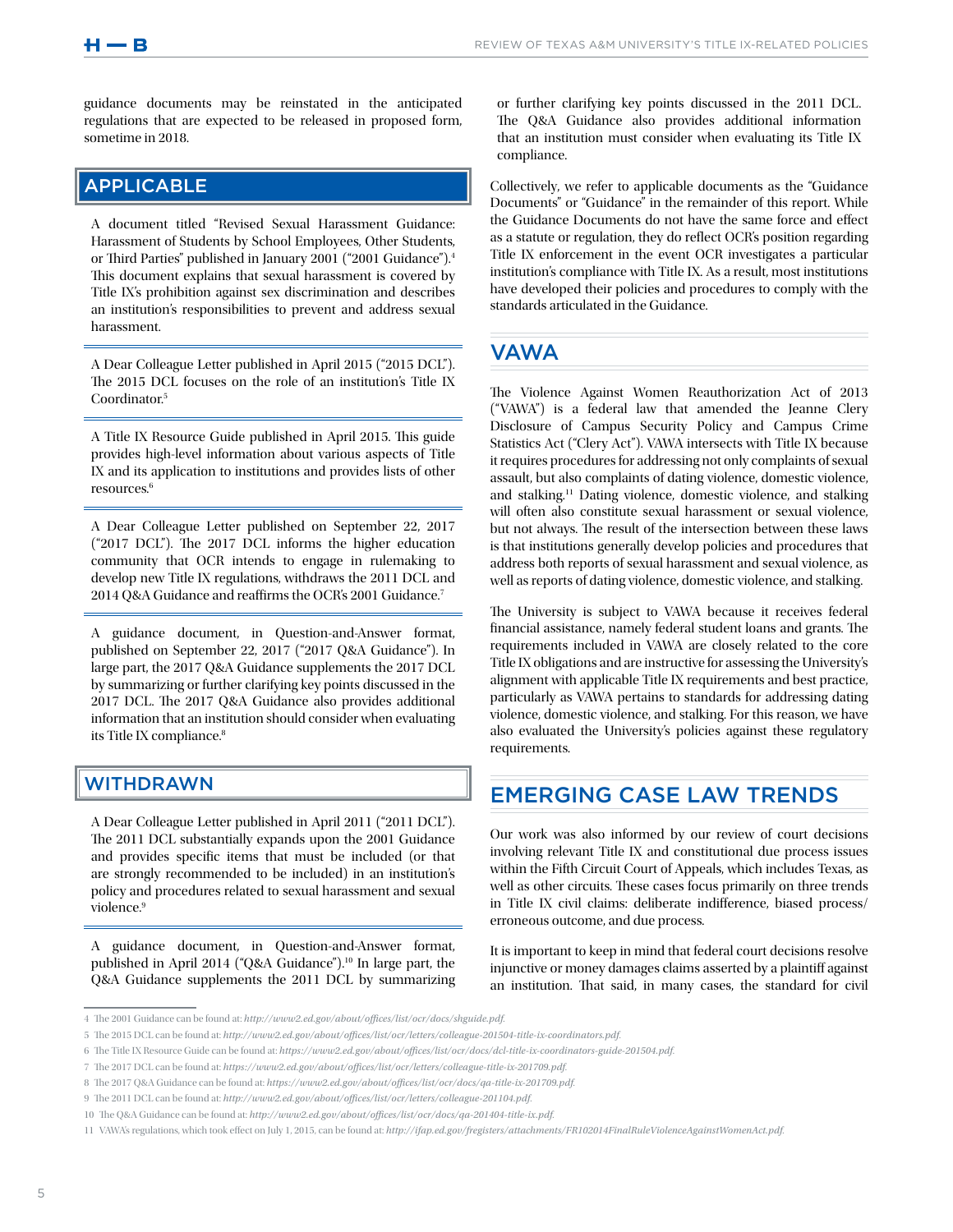guidance documents may be reinstated in the anticipated regulations that are expected to be released in proposed form, sometime in 2018.

## APPLICABLE

A document titled "Revised Sexual Harassment Guidance: Harassment of Students by School Employees, Other Students, or Third Parties" published in January 2001 ("2001 Guidance").4 This document explains that sexual harassment is covered by Title IX's prohibition against sex discrimination and describes an institution's responsibilities to prevent and address sexual harassment.

A Dear Colleague Letter published in April 2015 ("2015 DCL"). The 2015 DCL focuses on the role of an institution's Title IX Coordinator.5

A Title IX Resource Guide published in April 2015. This guide provides high-level information about various aspects of Title IX and its application to institutions and provides lists of other resources.6

A Dear Colleague Letter published on September 22, 2017 ("2017 DCL"). The 2017 DCL informs the higher education community that OCR intends to engage in rulemaking to develop new Title IX regulations, withdraws the 2011 DCL and 2014 Q&A Guidance and reaffirms the OCR's 2001 Guidance.7

A guidance document, in Question-and-Answer format, published on September 22, 2017 ("2017 Q&A Guidance"). In large part, the 2017 Q&A Guidance supplements the 2017 DCL by summarizing or further clarifying key points discussed in the 2017 DCL. The 2017 Q&A Guidance also provides additional information that an institution should consider when evaluating its Title IX compliance.<sup>8</sup>

## WITHDRAWN

A Dear Colleague Letter published in April 2011 ("2011 DCL"). The 2011 DCL substantially expands upon the 2001 Guidance and provides specific items that must be included (or that are strongly recommended to be included) in an institution's policy and procedures related to sexual harassment and sexual violence.<sup>9</sup>

A guidance document, in Question-and-Answer format, published in April 2014 ("Q&A Guidance").<sup>10</sup> In large part, the Q&A Guidance supplements the 2011 DCL by summarizing or further clarifying key points discussed in the 2011 DCL. The Q&A Guidance also provides additional information that an institution must consider when evaluating its Title IX compliance.

Collectively, we refer to applicable documents as the "Guidance Documents" or "Guidance" in the remainder of this report. While the Guidance Documents do not have the same force and effect as a statute or regulation, they do reflect OCR's position regarding Title IX enforcement in the event OCR investigates a particular institution's compliance with Title IX. As a result, most institutions have developed their policies and procedures to comply with the standards articulated in the Guidance.

## VAWA

The Violence Against Women Reauthorization Act of 2013 ("VAWA") is a federal law that amended the Jeanne Clery Disclosure of Campus Security Policy and Campus Crime Statistics Act ("Clery Act"). VAWA intersects with Title IX because it requires procedures for addressing not only complaints of sexual assault, but also complaints of dating violence, domestic violence, and stalking.11 Dating violence, domestic violence, and stalking will often also constitute sexual harassment or sexual violence, but not always. The result of the intersection between these laws is that institutions generally develop policies and procedures that address both reports of sexual harassment and sexual violence, as well as reports of dating violence, domestic violence, and stalking.

The University is subject to VAWA because it receives federal financial assistance, namely federal student loans and grants. The requirements included in VAWA are closely related to the core Title IX obligations and are instructive for assessing the University's alignment with applicable Title IX requirements and best practice, particularly as VAWA pertains to standards for addressing dating violence, domestic violence, and stalking. For this reason, we have also evaluated the University's policies against these regulatory requirements.

## EMERGING CASE LAW TRENDS

Our work was also informed by our review of court decisions involving relevant Title IX and constitutional due process issues within the Fifth Circuit Court of Appeals, which includes Texas, as well as other circuits. These cases focus primarily on three trends in Title IX civil claims: deliberate indifference, biased process/ erroneous outcome, and due process.

It is important to keep in mind that federal court decisions resolve injunctive or money damages claims asserted by a plaintiff against an institution. That said, in many cases, the standard for civil

<sup>4</sup> The 2001 Guidance can be found at: *http://www2.ed.gov/about/offices/list/ocr/docs/shguide.pdf*.

<sup>5</sup> The 2015 DCL can be found at: *http://www2.ed.gov/about/offices/list/ocr/letters/colleague-201504-title-ix-coordinators.pdf*.

<sup>6</sup> The Title IX Resource Guide can be found at: *https://www2.ed.gov/about/offices/list/ocr/docs/dcl-title-ix-coordinators-guide-201504.pdf*.

<sup>7</sup> The 2017 DCL can be found at: *https://www2.ed.gov/about/offices/list/ocr/letters/colleague-title-ix-201709.pdf*.

<sup>8</sup> The 2017 Q&A Guidance can be found at: *https://www2.ed.gov/about/offices/list/ocr/docs/qa-title-ix-201709.pdf*.

<sup>9</sup> The 2011 DCL can be found at: *http://www2.ed.gov/about/offices/list/ocr/letters/colleague-201104.pdf*.

<sup>10</sup> The Q&A Guidance can be found at: *http://www2.ed.gov/about/offices/list/ocr/docs/qa-201404-title-ix.pdf*.

<sup>11</sup> VAWA's regulations, which took effect on July 1, 2015, can be found at: *http://ifap.ed.gov/fregisters/attachments/FR102014FinalRuleViolenceAgainstWomenAct.pdf*.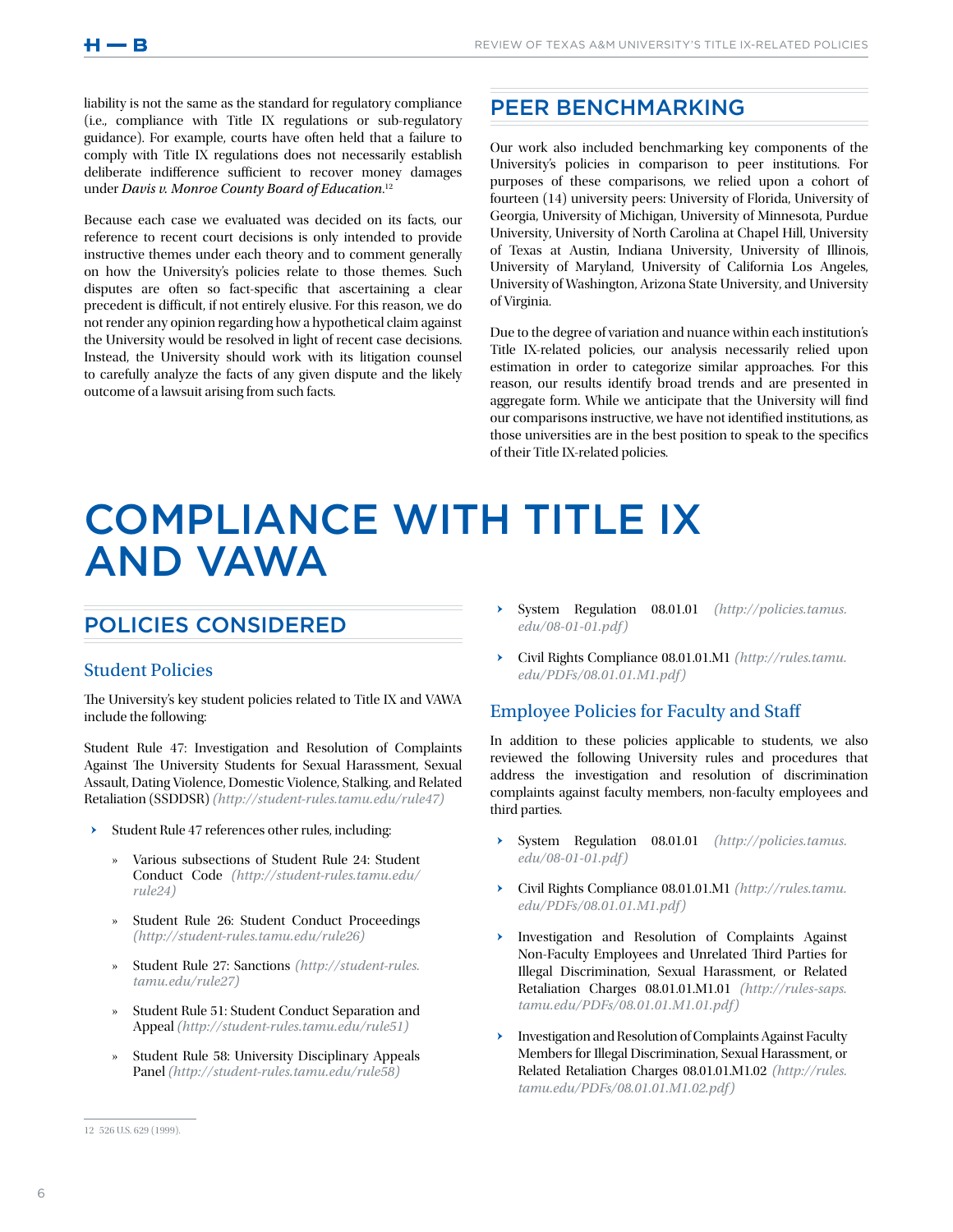liability is not the same as the standard for regulatory compliance (i.e., compliance with Title IX regulations or sub-regulatory guidance). For example, courts have often held that a failure to comply with Title IX regulations does not necessarily establish deliberate indifference sufficient to recover money damages under *Davis v. Monroe County Board of Education*. 12

Because each case we evaluated was decided on its facts, our reference to recent court decisions is only intended to provide instructive themes under each theory and to comment generally on how the University's policies relate to those themes. Such disputes are often so fact-specific that ascertaining a clear precedent is difficult, if not entirely elusive. For this reason, we do not render any opinion regarding how a hypothetical claim against the University would be resolved in light of recent case decisions. Instead, the University should work with its litigation counsel to carefully analyze the facts of any given dispute and the likely outcome of a lawsuit arising from such facts.

## PEER BENCHMARKING

Our work also included benchmarking key components of the University's policies in comparison to peer institutions. For purposes of these comparisons, we relied upon a cohort of fourteen (14) university peers: University of Florida, University of Georgia, University of Michigan, University of Minnesota, Purdue University, University of North Carolina at Chapel Hill, University of Texas at Austin, Indiana University, University of Illinois, University of Maryland, University of California Los Angeles, University of Washington, Arizona State University, and University of Virginia.

Due to the degree of variation and nuance within each institution's Title IX-related policies, our analysis necessarily relied upon estimation in order to categorize similar approaches. For this reason, our results identify broad trends and are presented in aggregate form. While we anticipate that the University will find our comparisons instructive, we have not identified institutions, as those universities are in the best position to speak to the specifics of their Title IX-related policies.

## COMPLIANCE WITH TITLE IX AND VAWA

## POLICIES CONSIDERED

## Student Policies

The University's key student policies related to Title IX and VAWA include the following:

Student Rule 47: Investigation and Resolution of Complaints Against The University Students for Sexual Harassment, Sexual Assault, Dating Violence, Domestic Violence, Stalking, and Related Retaliation (SSDDSR) *(http://student-rules.tamu.edu/rule47)*

- ǃ Student Rule 47 references other rules, including:
	- » Various subsections of Student Rule 24: Student Conduct Code *(http://student-rules.tamu.edu/ rule24)*
	- » Student Rule 26: Student Conduct Proceedings *(http://student-rules.tamu.edu/rule26)*
	- » Student Rule 27: Sanctions *(http://student-rules. tamu.edu/rule27)*
	- Student Rule 51: Student Conduct Separation and Appeal *(http://student-rules.tamu.edu/rule51)*
	- » Student Rule 58: University Disciplinary Appeals Panel *(http://student-rules.tamu.edu/rule58)*
- System Regulation 08.01.01 (http://policies.tamus. *edu/08-01-01.pdf)*
- ǃ Civil Rights Compliance 08.01.01.M1 *(http://rules.tamu. edu/PDFs/08.01.01.M1.pdf )*

## Employee Policies for Faculty and Staff

In addition to these policies applicable to students, we also reviewed the following University rules and procedures that address the investigation and resolution of discrimination complaints against faculty members, non-faculty employees and third parties.

- ǃ System Regulation 08.01.01 *(http://policies.tamus. edu/08-01-01.pdf)*
- ǃ Civil Rights Compliance 08.01.01.M1 *(http://rules.tamu. edu/PDFs/08.01.01.M1.pdf )*
- ǃ Investigation and Resolution of Complaints Against Non-Faculty Employees and Unrelated Third Parties for Illegal Discrimination, Sexual Harassment, or Related Retaliation Charges 08.01.01.M1.01 *(http://rules-saps. tamu.edu/PDFs/08.01.01.M1.01.pdf)*
- ǃ Investigation and Resolution of Complaints Against Faculty Members for Illegal Discrimination, Sexual Harassment, or Related Retaliation Charges 08.01.01.M1.02 *(http://rules. tamu.edu/PDFs/08.01.01.M1.02.pdf)*

<sup>12</sup> 526 U.S. 629 (1999).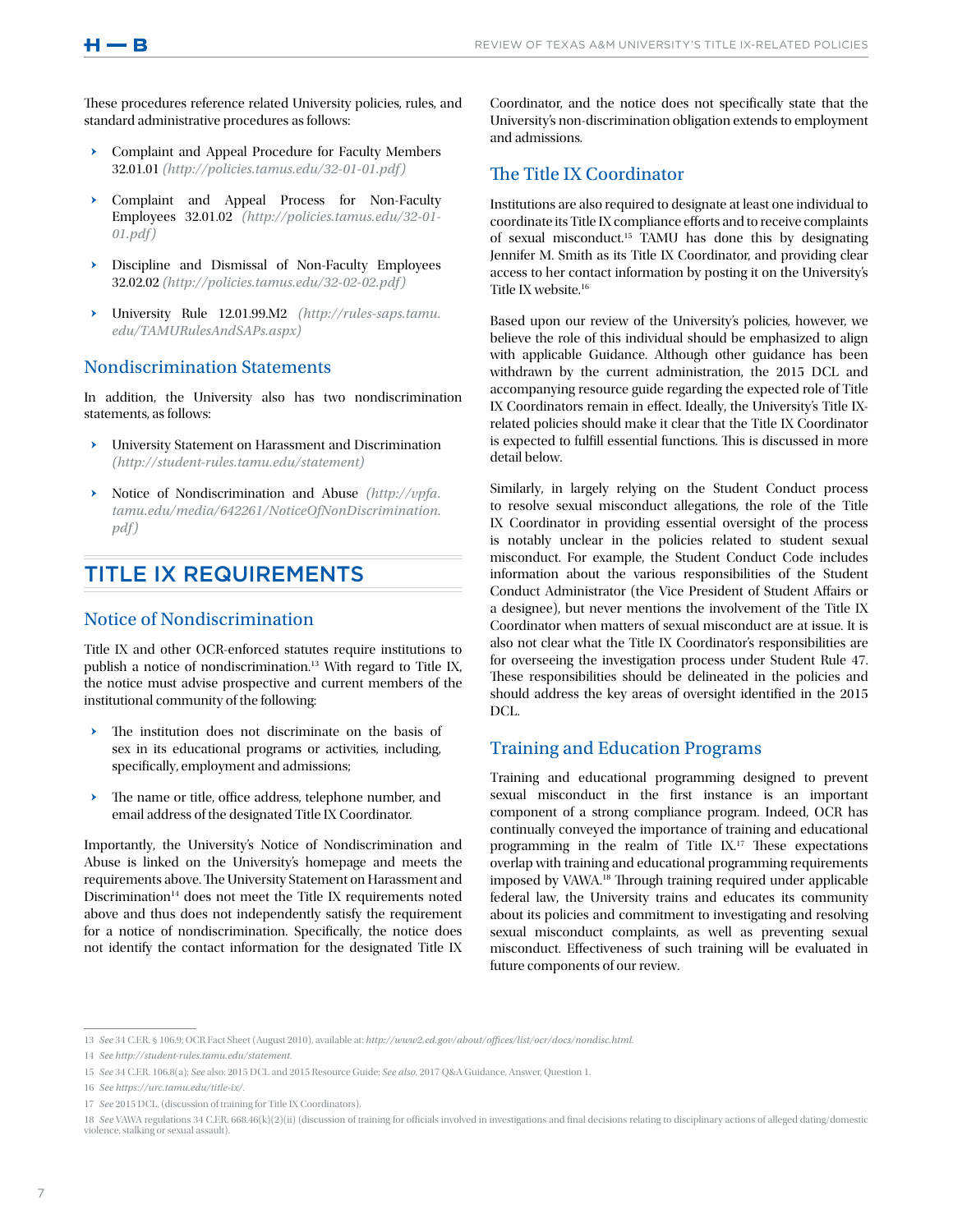These procedures reference related University policies, rules, and standard administrative procedures as follows:

- ▶ Complaint and Appeal Procedure for Faculty Members 32.01.01 *(http://policies.tamus.edu/32-01-01.pdf )*
- ǃ Complaint and Appeal Process for Non-Faculty Employees 32.01.02 *(http://policies.tamus.edu/32-01- 01.pdf)*
- > Discipline and Dismissal of Non-Faculty Employees 32.02.02 *(http://policies.tamus.edu/32-02-02.pdf )*
- ǃ University Rule 12.01.99.M2 *(http://rules-saps.tamu. edu/TAMURulesAndSAPs.aspx)*

## Nondiscrimination Statements

In addition, the University also has two nondiscrimination statements, as follows:

- University Statement on Harassment and Discrimination *(http://student-rules.tamu.edu/statement)*
- ǃ Notice of Nondiscrimination and Abuse *(http://vpfa. tamu.edu/media/642261/NoticeOfNonDiscrimination. pdf)*

## TITLE IX REQUIREMENTS

## Notice of Nondiscrimination

Title IX and other OCR-enforced statutes require institutions to publish a notice of nondiscrimination.<sup>13</sup> With regard to Title IX, the notice must advise prospective and current members of the institutional community of the following:

- $\rightarrow$  The institution does not discriminate on the basis of sex in its educational programs or activities, including, specifically, employment and admissions;
- The name or title, office address, telephone number, and email address of the designated Title IX Coordinator.

Importantly, the University's Notice of Nondiscrimination and Abuse is linked on the University's homepage and meets the requirements above. The University Statement on Harassment and Discrimination<sup>14</sup> does not meet the Title IX requirements noted above and thus does not independently satisfy the requirement for a notice of nondiscrimination. Specifically, the notice does not identify the contact information for the designated Title IX Coordinator, and the notice does not specifically state that the University's non-discrimination obligation extends to employment and admissions.

## The Title IX Coordinator

Institutions are also required to designate at least one individual to coordinate its Title IX compliance efforts and to receive complaints of sexual misconduct.15 TAMU has done this by designating Jennifer M. Smith as its Title IX Coordinator, and providing clear access to her contact information by posting it on the University's Title IX website.16

Based upon our review of the University's policies, however, we believe the role of this individual should be emphasized to align with applicable Guidance. Although other guidance has been withdrawn by the current administration, the 2015 DCL and accompanying resource guide regarding the expected role of Title IX Coordinators remain in effect. Ideally, the University's Title IXrelated policies should make it clear that the Title IX Coordinator is expected to fulfill essential functions. This is discussed in more detail below.

Similarly, in largely relying on the Student Conduct process to resolve sexual misconduct allegations, the role of the Title IX Coordinator in providing essential oversight of the process is notably unclear in the policies related to student sexual misconduct. For example, the Student Conduct Code includes information about the various responsibilities of the Student Conduct Administrator (the Vice President of Student Affairs or a designee), but never mentions the involvement of the Title IX Coordinator when matters of sexual misconduct are at issue. It is also not clear what the Title IX Coordinator's responsibilities are for overseeing the investigation process under Student Rule 47. These responsibilities should be delineated in the policies and should address the key areas of oversight identified in the 2015 DCL.

## Training and Education Programs

Training and educational programming designed to prevent sexual misconduct in the first instance is an important component of a strong compliance program. Indeed, OCR has continually conveyed the importance of training and educational programming in the realm of Title IX.17 These expectations overlap with training and educational programming requirements imposed by VAWA.18 Through training required under applicable federal law, the University trains and educates its community about its policies and commitment to investigating and resolving sexual misconduct complaints, as well as preventing sexual misconduct. Effectiveness of such training will be evaluated in future components of our review.

<sup>13</sup> *See* 34 C.F.R. § 106.9; OCR Fact Sheet (August 2010), available at: *http://www2.ed.gov/about/offices/list/ocr/docs/nondisc.html*.

<sup>14</sup> *See http://student-rules.tamu.edu/statement*.

<sup>15</sup> *See* 34 C.F.R. 106.8(a); *See* also: 2015 DCL and 2015 Resource Guide; *See also*, 2017 Q&A Guidance, Answer, Question 1.

<sup>16</sup> *See https://urc.tamu.edu/title-ix/*.

<sup>17</sup> *See* 2015 DCL, (discussion of training for Title IX Coordinators).

<sup>18</sup> See VAWA regulations 34 C.F.R. 668.46(k)(2)(ii) (discussion of training for officials involved in investigations and final decisions relating to disciplinary actions of alleged dating/domestic violence, stalking or sexual assault).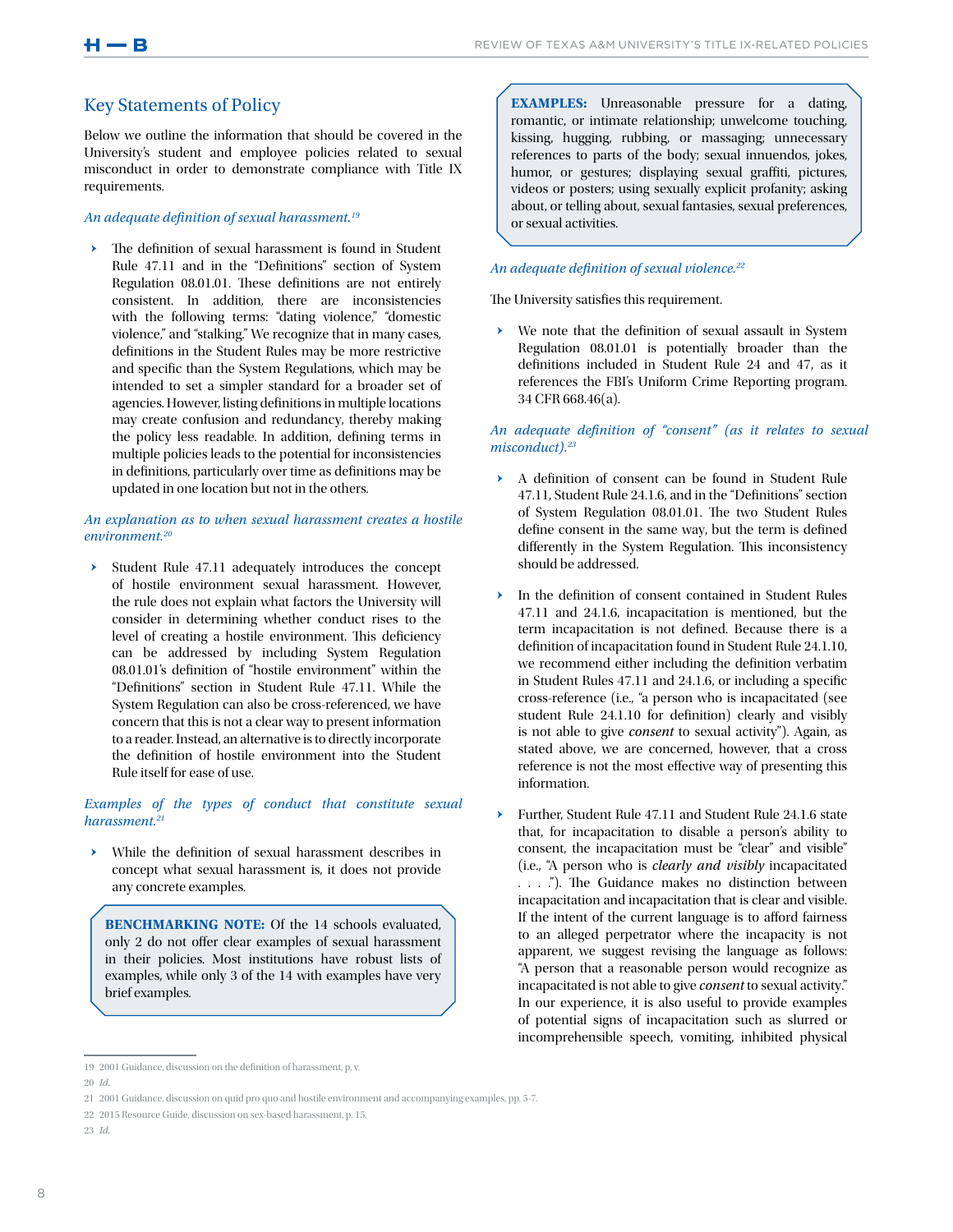## Key Statements of Policy

Below we outline the information that should be covered in the University's student and employee policies related to sexual misconduct in order to demonstrate compliance with Title IX requirements.

#### *An adequate definition of sexual harassment.19*

The definition of sexual harassment is found in Student Rule 47.11 and in the "Definitions" section of System Regulation 08.01.01. These definitions are not entirely consistent. In addition, there are inconsistencies with the following terms: "dating violence," "domestic violence," and "stalking." We recognize that in many cases, definitions in the Student Rules may be more restrictive and specific than the System Regulations, which may be intended to set a simpler standard for a broader set of agencies. However, listing definitions in multiple locations may create confusion and redundancy, thereby making the policy less readable. In addition, defining terms in multiple policies leads to the potential for inconsistencies in definitions, particularly over time as definitions may be updated in one location but not in the others.

#### *An explanation as to when sexual harassment creates a hostile environment.20*

ǃ Student Rule 47.11 adequately introduces the concept of hostile environment sexual harassment. However, the rule does not explain what factors the University will consider in determining whether conduct rises to the level of creating a hostile environment. This deficiency can be addressed by including System Regulation 08.01.01's definition of "hostile environment" within the "Definitions" section in Student Rule 47.11. While the System Regulation can also be cross-referenced, we have concern that this is not a clear way to present information to a reader. Instead, an alternative is to directly incorporate the definition of hostile environment into the Student Rule itself for ease of use.

### *Examples of the types of conduct that constitute sexual harassment.21*

While the definition of sexual harassment describes in concept what sexual harassment is, it does not provide any concrete examples.

**BENCHMARKING NOTE:** Of the 14 schools evaluated, only 2 do not offer clear examples of sexual harassment in their policies. Most institutions have robust lists of examples, while only 3 of the 14 with examples have very brief examples.

**EXAMPLES:** Unreasonable pressure for a dating, romantic, or intimate relationship; unwelcome touching, kissing, hugging, rubbing, or massaging; unnecessary references to parts of the body; sexual innuendos, jokes, humor, or gestures; displaying sexual graffiti, pictures, videos or posters; using sexually explicit profanity; asking about, or telling about, sexual fantasies, sexual preferences, or sexual activities.

## *An adequate definition of sexual violence.22*

The University satisfies this requirement.

ǃ We note that the definition of sexual assault in System Regulation 08.01.01 is potentially broader than the definitions included in Student Rule 24 and 47, as it references the FBI's Uniform Crime Reporting program. 34 CFR 668.46(a).

#### *An adequate definition of "consent" (as it relates to sexual misconduct).23*

- A definition of consent can be found in Student Rule 47.11, Student Rule 24.1.6, and in the "Definitions" section of System Regulation 08.01.01. The two Student Rules define consent in the same way, but the term is defined differently in the System Regulation. This inconsistency should be addressed.
- ▶ In the definition of consent contained in Student Rules 47.11 and 24.1.6, incapacitation is mentioned, but the term incapacitation is not defined. Because there is a definition of incapacitation found in Student Rule 24.1.10, we recommend either including the definition verbatim in Student Rules 47.11 and 24.1.6, or including a specific cross-reference (i.e., "a person who is incapacitated (see student Rule 24.1.10 for definition) clearly and visibly is not able to give *consent* to sexual activity"). Again, as stated above, we are concerned, however, that a cross reference is not the most effective way of presenting this information.
- Further, Student Rule 47.11 and Student Rule 24.1.6 state that, for incapacitation to disable a person's ability to consent, the incapacitation must be "clear" and visible" (i.e., "A person who is *clearly and visibly* incapacitated . . . ."). The Guidance makes no distinction between incapacitation and incapacitation that is clear and visible. If the intent of the current language is to afford fairness to an alleged perpetrator where the incapacity is not apparent, we suggest revising the language as follows: "A person that a reasonable person would recognize as incapacitated is not able to give *consent* to sexual activity." In our experience, it is also useful to provide examples of potential signs of incapacitation such as slurred or incomprehensible speech, vomiting, inhibited physical

<sup>19</sup> 2001 Guidance, discussion on the definition of harassment, p. v.

<sup>20</sup> *Id.*

<sup>21</sup> 2001 Guidance, discussion on quid pro quo and hostile environment and accompanying examples, pp. 5-7.

<sup>22</sup> 2015 Resource Guide, discussion on sex-based harassment, p. 15.

<sup>23</sup> *Id.*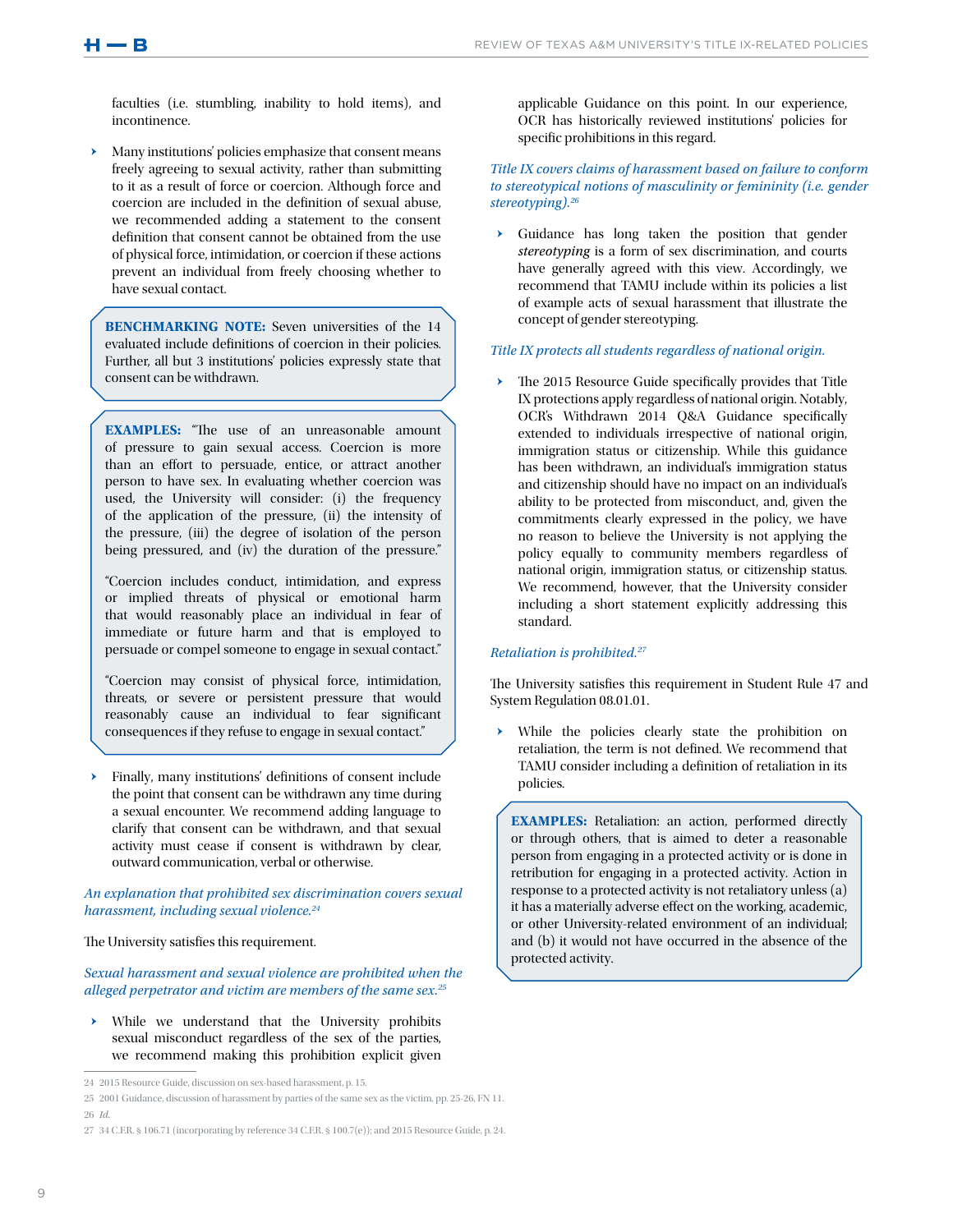faculties (i.e. stumbling, inability to hold items), and incontinence.

Many institutions' policies emphasize that consent means freely agreeing to sexual activity, rather than submitting to it as a result of force or coercion. Although force and coercion are included in the definition of sexual abuse, we recommended adding a statement to the consent definition that consent cannot be obtained from the use of physical force, intimidation, or coercion if these actions prevent an individual from freely choosing whether to have sexual contact.

**BENCHMARKING NOTE:** Seven universities of the 14 evaluated include definitions of coercion in their policies. Further, all but 3 institutions' policies expressly state that consent can be withdrawn.

**EXAMPLES:** "The use of an unreasonable amount of pressure to gain sexual access. Coercion is more than an effort to persuade, entice, or attract another person to have sex. In evaluating whether coercion was used, the University will consider: (i) the frequency of the application of the pressure, (ii) the intensity of the pressure, (iii) the degree of isolation of the person being pressured, and (iv) the duration of the pressure."

"Coercion includes conduct, intimidation, and express or implied threats of physical or emotional harm that would reasonably place an individual in fear of immediate or future harm and that is employed to persuade or compel someone to engage in sexual contact."

"Coercion may consist of physical force, intimidation, threats, or severe or persistent pressure that would reasonably cause an individual to fear significant consequences if they refuse to engage in sexual contact."

Finally, many institutions' definitions of consent include the point that consent can be withdrawn any time during a sexual encounter. We recommend adding language to clarify that consent can be withdrawn, and that sexual activity must cease if consent is withdrawn by clear, outward communication, verbal or otherwise.

*An explanation that prohibited sex discrimination covers sexual harassment, including sexual violence.24*

#### The University satisfies this requirement.

*Sexual harassment and sexual violence are prohibited when the alleged perpetrator and victim are members of the same sex.25*

 $\rightarrow$  While we understand that the University prohibits sexual misconduct regardless of the sex of the parties, we recommend making this prohibition explicit given applicable Guidance on this point. In our experience, OCR has historically reviewed institutions' policies for specific prohibitions in this regard.

#### *Title IX covers claims of harassment based on failure to conform to stereotypical notions of masculinity or femininity (i.e. gender stereotyping).26*

Guidance has long taken the position that gender *stereotyping* is a form of sex discrimination, and courts have generally agreed with this view. Accordingly, we recommend that TAMU include within its policies a list of example acts of sexual harassment that illustrate the concept of gender stereotyping.

## *Title IX protects all students regardless of national origin.*

The 2015 Resource Guide specifically provides that Title IX protections apply regardless of national origin. Notably, OCR's Withdrawn 2014 Q&A Guidance specifically extended to individuals irrespective of national origin, immigration status or citizenship. While this guidance has been withdrawn, an individual's immigration status and citizenship should have no impact on an individual's ability to be protected from misconduct, and, given the commitments clearly expressed in the policy, we have no reason to believe the University is not applying the policy equally to community members regardless of national origin, immigration status, or citizenship status. We recommend, however, that the University consider including a short statement explicitly addressing this standard.

#### *Retaliation is prohibited.27*

The University satisfies this requirement in Student Rule 47 and System Regulation 08.01.01.

While the policies clearly state the prohibition on retaliation, the term is not defined. We recommend that TAMU consider including a definition of retaliation in its policies.

**EXAMPLES:** Retaliation: an action, performed directly or through others, that is aimed to deter a reasonable person from engaging in a protected activity or is done in retribution for engaging in a protected activity. Action in response to a protected activity is not retaliatory unless (a) it has a materially adverse effect on the working, academic, or other University-related environment of an individual; and (b) it would not have occurred in the absence of the protected activity.

<sup>24</sup> 2015 Resource Guide, discussion on sex-based harassment, p. 15.

<sup>25</sup> 2001 Guidance, discussion of harassment by parties of the same sex as the victim, pp. 25-26, FN 11.

<sup>26</sup> *Id.*

<sup>27</sup> 34 C.F.R. § 106.71 (incorporating by reference 34 C.F.R. § 100.7(e)); and 2015 Resource Guide, p. 24.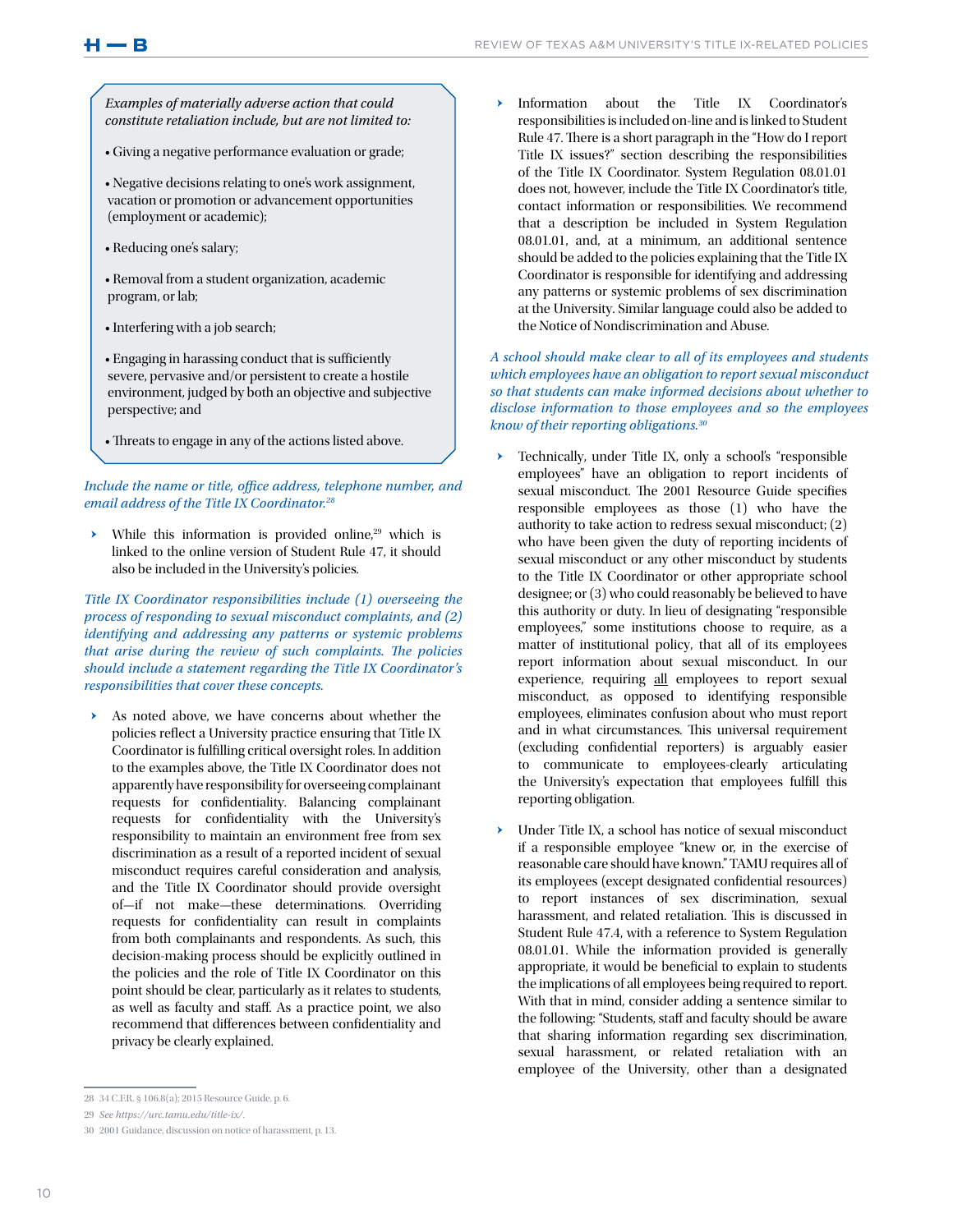*Examples of materially adverse action that could constitute retaliation include, but are not limited to:*

• Giving a negative performance evaluation or grade;

• Negative decisions relating to one's work assignment, vacation or promotion or advancement opportunities (employment or academic);

- Reducing one's salary;
- Removal from a student organization, academic program, or lab;
- Interfering with a job search;
- Engaging in harassing conduct that is sufficiently severe, pervasive and/or persistent to create a hostile environment, judged by both an objective and subjective perspective; and
- Threats to engage in any of the actions listed above.

*Include the name or title, office address, telephone number, and email address of the Title IX Coordinator.28*

 $\rightarrow$  While this information is provided online,<sup>29</sup> which is linked to the online version of Student Rule 47, it should also be included in the University's policies.

*Title IX Coordinator responsibilities include (1) overseeing the process of responding to sexual misconduct complaints, and (2) identifying and addressing any patterns or systemic problems that arise during the review of such complaints. The policies should include a statement regarding the Title IX Coordinator's responsibilities that cover these concepts.* 

As noted above, we have concerns about whether the policies reflect a University practice ensuring that Title IX Coordinator is fulfilling critical oversight roles. In addition to the examples above, the Title IX Coordinator does not apparently have responsibility for overseeing complainant requests for confidentiality. Balancing complainant requests for confidentiality with the University's responsibility to maintain an environment free from sex discrimination as a result of a reported incident of sexual misconduct requires careful consideration and analysis, and the Title IX Coordinator should provide oversight of—if not make—these determinations. Overriding requests for confidentiality can result in complaints from both complainants and respondents. As such, this decision-making process should be explicitly outlined in the policies and the role of Title IX Coordinator on this point should be clear, particularly as it relates to students, as well as faculty and staff. As a practice point, we also recommend that differences between confidentiality and privacy be clearly explained.

### *A school should make clear to all of its employees and students which employees have an obligation to report sexual misconduct so that students can make informed decisions about whether to disclose information to those employees and so the employees know of their reporting obligations.30*

- ǃ Technically, under Title IX, only a school's "responsible employees" have an obligation to report incidents of sexual misconduct. The 2001 Resource Guide specifies responsible employees as those (1) who have the authority to take action to redress sexual misconduct; (2) who have been given the duty of reporting incidents of sexual misconduct or any other misconduct by students to the Title IX Coordinator or other appropriate school designee; or (3) who could reasonably be believed to have this authority or duty. In lieu of designating "responsible employees," some institutions choose to require, as a matter of institutional policy, that all of its employees report information about sexual misconduct. In our experience, requiring all employees to report sexual misconduct, as opposed to identifying responsible employees, eliminates confusion about who must report and in what circumstances. This universal requirement (excluding confidential reporters) is arguably easier to communicate to employees-clearly articulating the University's expectation that employees fulfill this reporting obligation.
- Under Title IX, a school has notice of sexual misconduct if a responsible employee "knew or, in the exercise of reasonable care should have known." TAMU requires all of its employees (except designated confidential resources) to report instances of sex discrimination, sexual harassment, and related retaliation. This is discussed in Student Rule 47.4, with a reference to System Regulation 08.01.01. While the information provided is generally appropriate, it would be beneficial to explain to students the implications of all employees being required to report. With that in mind, consider adding a sentence similar to the following: "Students, staff and faculty should be aware that sharing information regarding sex discrimination, sexual harassment, or related retaliation with an employee of the University, other than a designated

Information about the Title IX Coordinator's responsibilities is included on-line and is linked to Student Rule 47. There is a short paragraph in the "How do I report Title IX issues?" section describing the responsibilities of the Title IX Coordinator. System Regulation 08.01.01 does not, however, include the Title IX Coordinator's title, contact information or responsibilities. We recommend that a description be included in System Regulation 08.01.01, and, at a minimum, an additional sentence should be added to the policies explaining that the Title IX Coordinator is responsible for identifying and addressing any patterns or systemic problems of sex discrimination at the University. Similar language could also be added to the Notice of Nondiscrimination and Abuse.

<sup>28</sup> 34 C.F.R. § 106.8(a); 2015 Resource Guide, p. 6.

<sup>29</sup> *See https://urc.tamu.edu/title-ix/*.

<sup>30</sup> 2001 Guidance, discussion on notice of harassment, p. 13.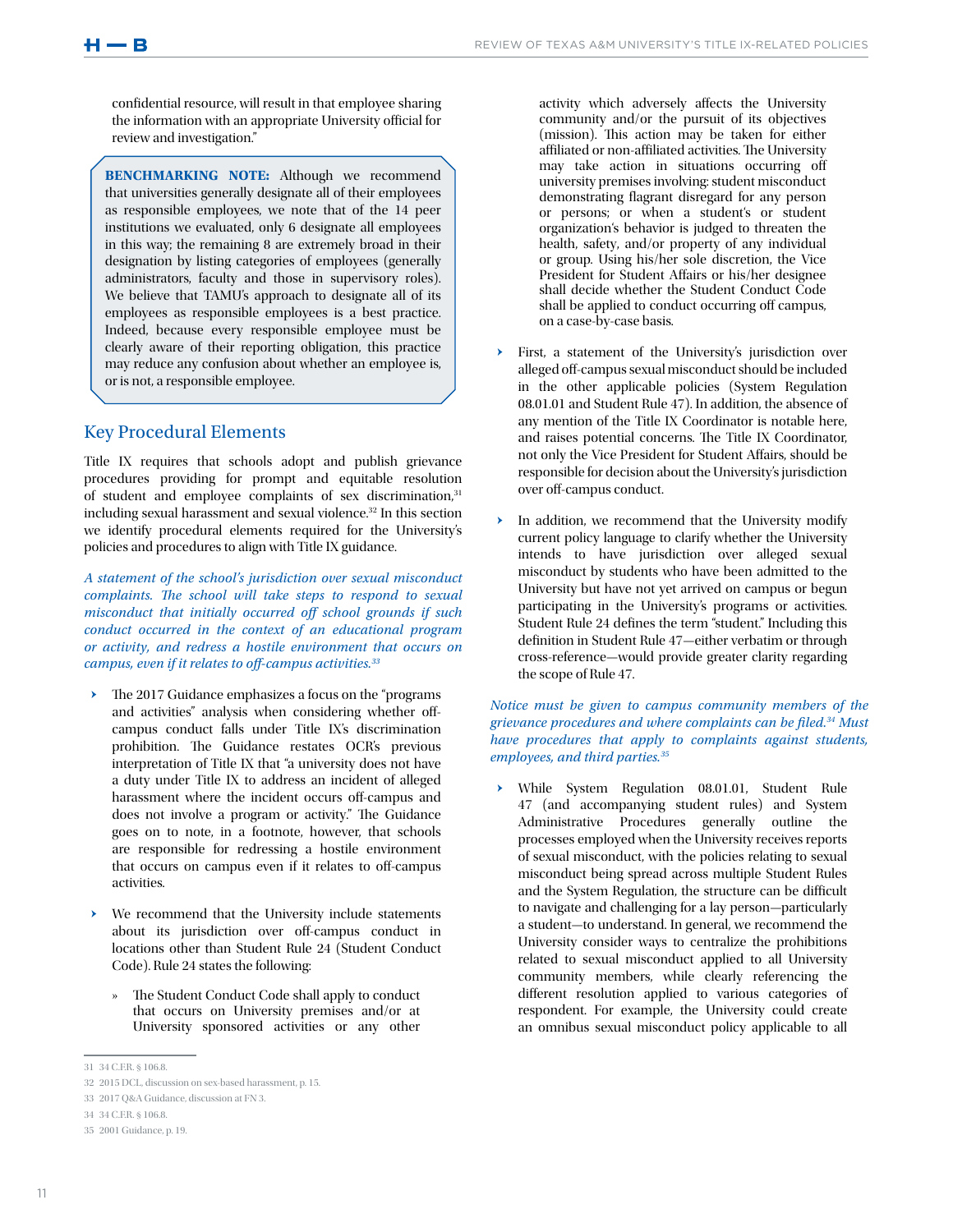$H \rightarrow B$ 

confidential resource, will result in that employee sharing the information with an appropriate University official for review and investigation."

**BENCHMARKING NOTE:** Although we recommend that universities generally designate all of their employees as responsible employees, we note that of the 14 peer institutions we evaluated, only 6 designate all employees in this way; the remaining 8 are extremely broad in their designation by listing categories of employees (generally administrators, faculty and those in supervisory roles). We believe that TAMU's approach to designate all of its employees as responsible employees is a best practice. Indeed, because every responsible employee must be clearly aware of their reporting obligation, this practice may reduce any confusion about whether an employee is, or is not, a responsible employee.

## Key Procedural Elements

Title IX requires that schools adopt and publish grievance procedures providing for prompt and equitable resolution of student and employee complaints of sex discrimination,<sup>31</sup> including sexual harassment and sexual violence.32 In this section we identify procedural elements required for the University's policies and procedures to align with Title IX guidance.

*A statement of the school's jurisdiction over sexual misconduct complaints. The school will take steps to respond to sexual misconduct that initially occurred off school grounds if such conduct occurred in the context of an educational program or activity, and redress a hostile environment that occurs on campus, even if it relates to off-campus activities.33*

- The 2017 Guidance emphasizes a focus on the "programs" and activities" analysis when considering whether offcampus conduct falls under Title IX's discrimination prohibition. The Guidance restates OCR's previous interpretation of Title IX that "a university does not have a duty under Title IX to address an incident of alleged harassment where the incident occurs off-campus and does not involve a program or activity." The Guidance goes on to note, in a footnote, however, that schools are responsible for redressing a hostile environment that occurs on campus even if it relates to off-campus activities.
- We recommend that the University include statements about its jurisdiction over off-campus conduct in locations other than Student Rule 24 (Student Conduct Code). Rule 24 states the following:
	- The Student Conduct Code shall apply to conduct that occurs on University premises and/or at University sponsored activities or any other

activity which adversely affects the University community and/or the pursuit of its objectives (mission). This action may be taken for either affiliated or non-affiliated activities. The University may take action in situations occurring off university premises involving: student misconduct demonstrating flagrant disregard for any person or persons; or when a student's or student organization's behavior is judged to threaten the health, safety, and/or property of any individual or group. Using his/her sole discretion, the Vice President for Student Affairs or his/her designee shall decide whether the Student Conduct Code shall be applied to conduct occurring off campus, on a case-by-case basis.

- First, a statement of the University's jurisdiction over alleged off-campus sexual misconduct should be included in the other applicable policies (System Regulation 08.01.01 and Student Rule 47). In addition, the absence of any mention of the Title IX Coordinator is notable here, and raises potential concerns. The Title IX Coordinator, not only the Vice President for Student Affairs, should be responsible for decision about the University's jurisdiction over off-campus conduct.
- In addition, we recommend that the University modify current policy language to clarify whether the University intends to have jurisdiction over alleged sexual misconduct by students who have been admitted to the University but have not yet arrived on campus or begun participating in the University's programs or activities. Student Rule 24 defines the term "student." Including this definition in Student Rule 47—either verbatim or through cross-reference—would provide greater clarity regarding the scope of Rule 47.

### *Notice must be given to campus community members of the grievance procedures and where complaints can be filed.34 Must have procedures that apply to complaints against students, employees, and third parties.35*

ǃ While System Regulation 08.01.01, Student Rule 47 (and accompanying student rules) and System Administrative Procedures generally outline the processes employed when the University receives reports of sexual misconduct, with the policies relating to sexual misconduct being spread across multiple Student Rules and the System Regulation, the structure can be difficult to navigate and challenging for a lay person—particularly a student—to understand. In general, we recommend the University consider ways to centralize the prohibitions related to sexual misconduct applied to all University community members, while clearly referencing the different resolution applied to various categories of respondent. For example, the University could create an omnibus sexual misconduct policy applicable to all

<sup>31 34</sup> C.E.R. § 106.8.

<sup>32</sup> 2015 DCL, discussion on sex-based harassment, p. 15.

<sup>33</sup> 2017 Q&A Guidance, discussion at FN 3.

<sup>34 34</sup> C.E.R. § 106.8.

<sup>35</sup> 2001 Guidance, p. 19.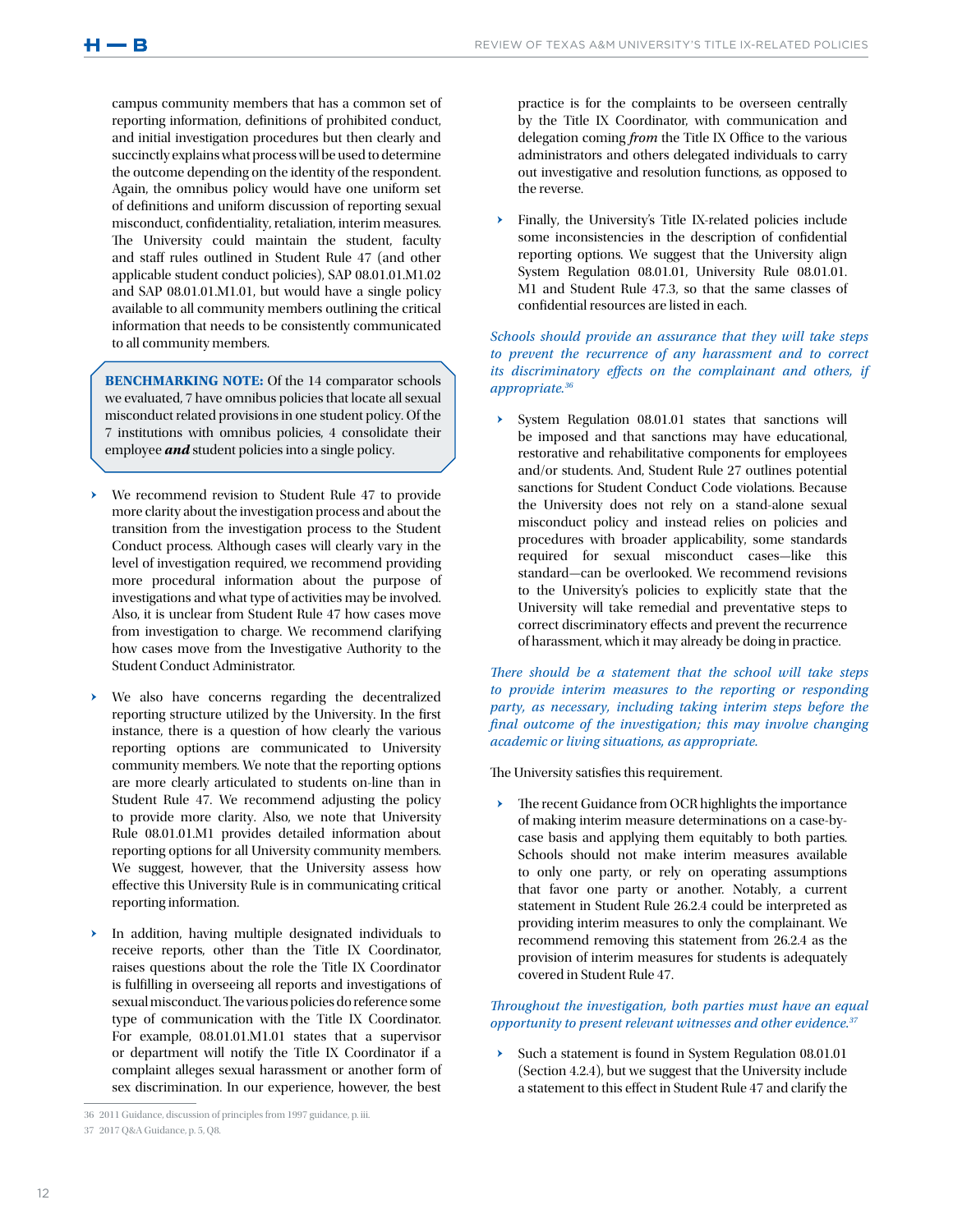campus community members that has a common set of reporting information, definitions of prohibited conduct, and initial investigation procedures but then clearly and succinctly explains what process will be used to determine the outcome depending on the identity of the respondent. Again, the omnibus policy would have one uniform set of definitions and uniform discussion of reporting sexual misconduct, confidentiality, retaliation, interim measures. The University could maintain the student, faculty and staff rules outlined in Student Rule 47 (and other applicable student conduct policies), SAP 08.01.01.M1.02 and SAP 08.01.01.M1.01, but would have a single policy available to all community members outlining the critical information that needs to be consistently communicated to all community members.

**BENCHMARKING NOTE:** Of the 14 comparator schools we evaluated, 7 have omnibus policies that locate all sexual misconduct related provisions in one student policy. Of the 7 institutions with omnibus policies, 4 consolidate their employee *and* student policies into a single policy.

- We recommend revision to Student Rule 47 to provide more clarity about the investigation process and about the transition from the investigation process to the Student Conduct process. Although cases will clearly vary in the level of investigation required, we recommend providing more procedural information about the purpose of investigations and what type of activities may be involved. Also, it is unclear from Student Rule 47 how cases move from investigation to charge. We recommend clarifying how cases move from the Investigative Authority to the Student Conduct Administrator.
- We also have concerns regarding the decentralized reporting structure utilized by the University. In the first instance, there is a question of how clearly the various reporting options are communicated to University community members. We note that the reporting options are more clearly articulated to students on-line than in Student Rule 47. We recommend adjusting the policy to provide more clarity. Also, we note that University Rule 08.01.01.M1 provides detailed information about reporting options for all University community members. We suggest, however, that the University assess how effective this University Rule is in communicating critical reporting information.
- In addition, having multiple designated individuals to receive reports, other than the Title IX Coordinator, raises questions about the role the Title IX Coordinator is fulfilling in overseeing all reports and investigations of sexual misconduct. The various policies do reference some type of communication with the Title IX Coordinator. For example, 08.01.01.M1.01 states that a supervisor or department will notify the Title IX Coordinator if a complaint alleges sexual harassment or another form of sex discrimination. In our experience, however, the best

practice is for the complaints to be overseen centrally by the Title IX Coordinator, with communication and delegation coming *from* the Title IX Office to the various administrators and others delegated individuals to carry out investigative and resolution functions, as opposed to the reverse.

Finally, the University's Title IX-related policies include some inconsistencies in the description of confidential reporting options. We suggest that the University align System Regulation 08.01.01, University Rule 08.01.01. M1 and Student Rule 47.3, so that the same classes of confidential resources are listed in each.

#### *Schools should provide an assurance that they will take steps to prevent the recurrence of any harassment and to correct its discriminatory effects on the complainant and others, if appropriate.36*

ǃ System Regulation 08.01.01 states that sanctions will be imposed and that sanctions may have educational, restorative and rehabilitative components for employees and/or students. And, Student Rule 27 outlines potential sanctions for Student Conduct Code violations. Because the University does not rely on a stand-alone sexual misconduct policy and instead relies on policies and procedures with broader applicability, some standards required for sexual misconduct cases—like this standard—can be overlooked. We recommend revisions to the University's policies to explicitly state that the University will take remedial and preventative steps to correct discriminatory effects and prevent the recurrence of harassment, which it may already be doing in practice.

#### *There should be a statement that the school will take steps to provide interim measures to the reporting or responding party, as necessary, including taking interim steps before the final outcome of the investigation; this may involve changing academic or living situations, as appropriate.*

The University satisfies this requirement.

The recent Guidance from OCR highlights the importance of making interim measure determinations on a case-bycase basis and applying them equitably to both parties. Schools should not make interim measures available to only one party, or rely on operating assumptions that favor one party or another. Notably, a current statement in Student Rule 26.2.4 could be interpreted as providing interim measures to only the complainant. We recommend removing this statement from 26.2.4 as the provision of interim measures for students is adequately covered in Student Rule 47.

## *Throughout the investigation, both parties must have an equal opportunity to present relevant witnesses and other evidence.37*

▶ Such a statement is found in System Regulation 08.01.01 (Section 4.2.4), but we suggest that the University include a statement to this effect in Student Rule 47 and clarify the

<sup>36</sup> 2011 Guidance, discussion of principles from 1997 guidance, p. iii.

<sup>37</sup> 2017 Q&A Guidance, p. 5, Q8.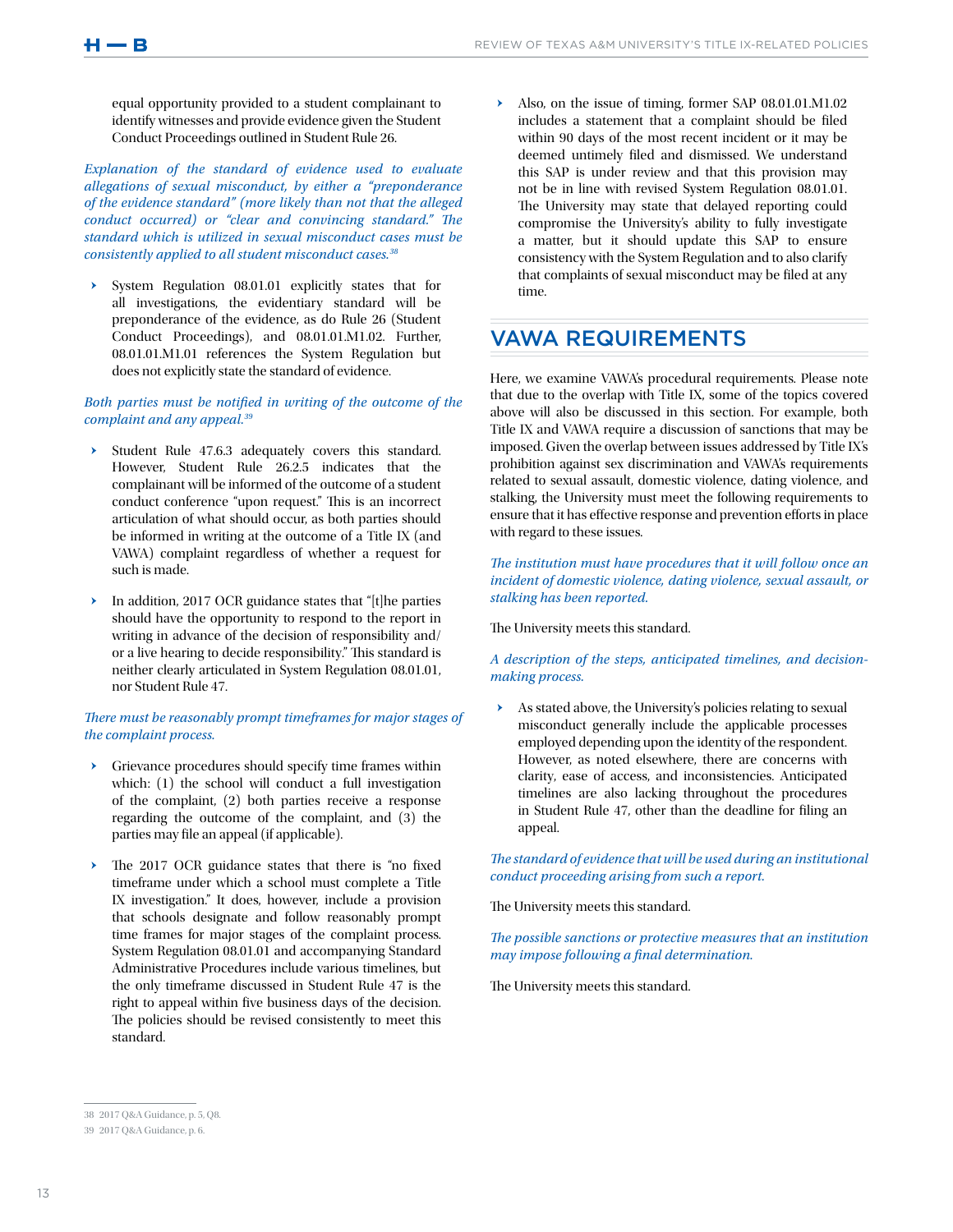equal opportunity provided to a student complainant to identify witnesses and provide evidence given the Student Conduct Proceedings outlined in Student Rule 26.

*Explanation of the standard of evidence used to evaluate allegations of sexual misconduct, by either a "preponderance of the evidence standard" (more likely than not that the alleged conduct occurred) or "clear and convincing standard." The standard which is utilized in sexual misconduct cases must be consistently applied to all student misconduct cases.38*

System Regulation 08.01.01 explicitly states that for all investigations, the evidentiary standard will be preponderance of the evidence, as do Rule 26 (Student Conduct Proceedings), and 08.01.01.M1.02. Further, 08.01.01.M1.01 references the System Regulation but does not explicitly state the standard of evidence.

#### *Both parties must be notified in writing of the outcome of the complaint and any appeal.39*

- Student Rule 47.6.3 adequately covers this standard. However, Student Rule 26.2.5 indicates that the complainant will be informed of the outcome of a student conduct conference "upon request." This is an incorrect articulation of what should occur, as both parties should be informed in writing at the outcome of a Title IX (and VAWA) complaint regardless of whether a request for such is made.
- In addition, 2017 OCR guidance states that "[t]he parties should have the opportunity to respond to the report in writing in advance of the decision of responsibility and/ or a live hearing to decide responsibility." This standard is neither clearly articulated in System Regulation 08.01.01, nor Student Rule 47.

## *There must be reasonably prompt timeframes for major stages of the complaint process.*

- ǃ Grievance procedures should specify time frames within which: (1) the school will conduct a full investigation of the complaint, (2) both parties receive a response regarding the outcome of the complaint, and (3) the parties may file an appeal (if applicable).
- The 2017 OCR guidance states that there is "no fixed timeframe under which a school must complete a Title IX investigation." It does, however, include a provision that schools designate and follow reasonably prompt time frames for major stages of the complaint process. System Regulation 08.01.01 and accompanying Standard Administrative Procedures include various timelines, but the only timeframe discussed in Student Rule 47 is the right to appeal within five business days of the decision. The policies should be revised consistently to meet this standard.

Also, on the issue of timing, former SAP 08.01.01.M1.02 includes a statement that a complaint should be filed within 90 days of the most recent incident or it may be deemed untimely filed and dismissed. We understand this SAP is under review and that this provision may not be in line with revised System Regulation 08.01.01. The University may state that delayed reporting could compromise the University's ability to fully investigate a matter, but it should update this SAP to ensure consistency with the System Regulation and to also clarify that complaints of sexual misconduct may be filed at any time.

## VAWA REQUIREMENTS

Here, we examine VAWA's procedural requirements. Please note that due to the overlap with Title IX, some of the topics covered above will also be discussed in this section. For example, both Title IX and VAWA require a discussion of sanctions that may be imposed. Given the overlap between issues addressed by Title IX's prohibition against sex discrimination and VAWA's requirements related to sexual assault, domestic violence, dating violence, and stalking, the University must meet the following requirements to ensure that it has effective response and prevention efforts in place with regard to these issues.

*The institution must have procedures that it will follow once an incident of domestic violence, dating violence, sexual assault, or stalking has been reported.* 

The University meets this standard.

#### *A description of the steps, anticipated timelines, and decisionmaking process.*

As stated above, the University's policies relating to sexual misconduct generally include the applicable processes employed depending upon the identity of the respondent. However, as noted elsewhere, there are concerns with clarity, ease of access, and inconsistencies. Anticipated timelines are also lacking throughout the procedures in Student Rule 47, other than the deadline for filing an appeal.

*The standard of evidence that will be used during an institutional conduct proceeding arising from such a report.*

The University meets this standard.

*The possible sanctions or protective measures that an institution may impose following a final determination.*

The University meets this standard.

<sup>38</sup> 2017 Q&A Guidance, p. 5, Q8.

<sup>39</sup> 2017 Q&A Guidance, p. 6.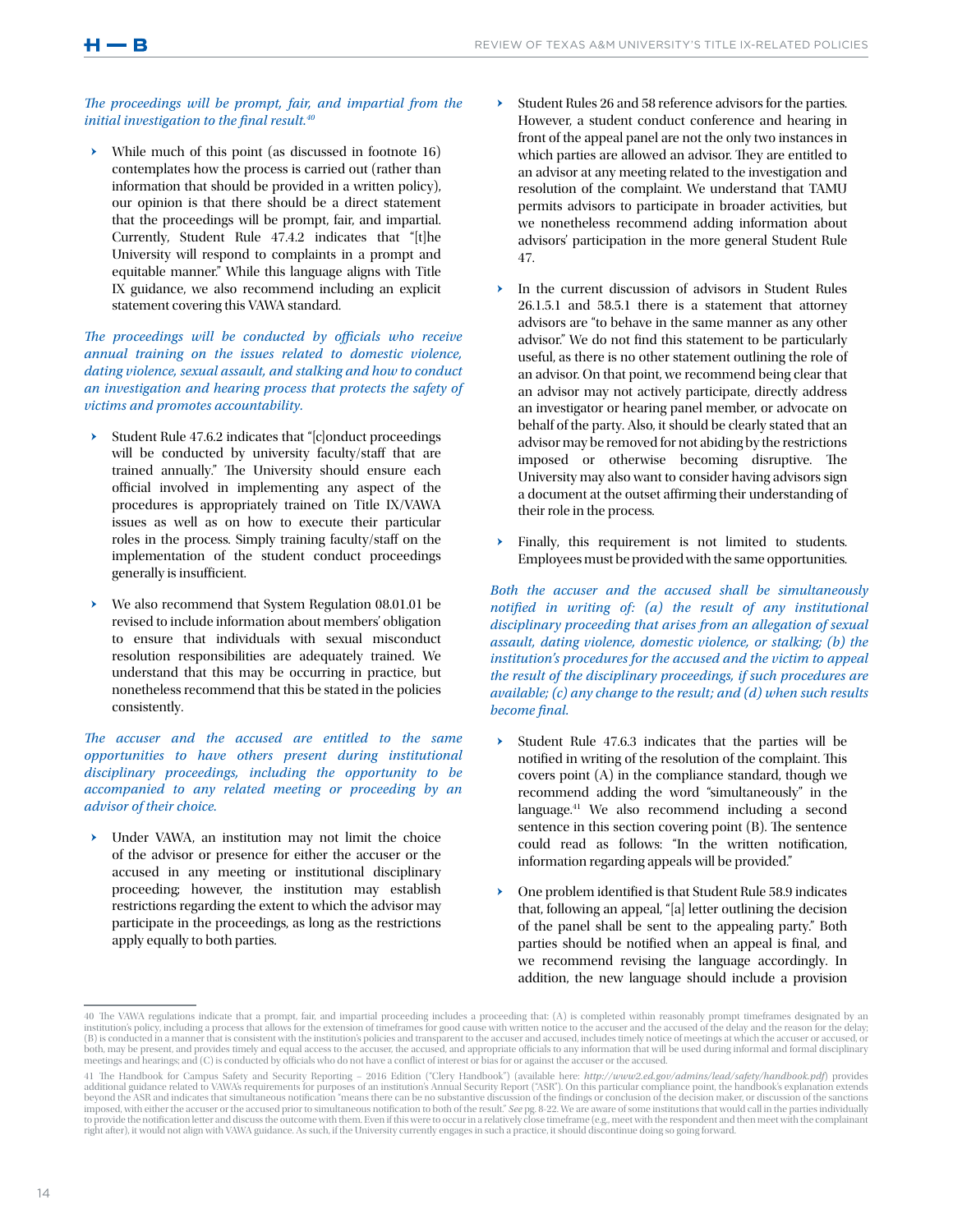#### *The proceedings will be prompt, fair, and impartial from the initial investigation to the final result.40*

While much of this point (as discussed in footnote 16) contemplates how the process is carried out (rather than information that should be provided in a written policy), our opinion is that there should be a direct statement that the proceedings will be prompt, fair, and impartial. Currently, Student Rule 47.4.2 indicates that "[t]he University will respond to complaints in a prompt and equitable manner." While this language aligns with Title IX guidance, we also recommend including an explicit statement covering this VAWA standard.

The proceedings will be conducted by officials who receive *annual training on the issues related to domestic violence, dating violence, sexual assault, and stalking and how to conduct an investigation and hearing process that protects the safety of victims and promotes accountability.*

- ǃ Student Rule 47.6.2 indicates that "[c]onduct proceedings will be conducted by university faculty/staff that are trained annually." The University should ensure each official involved in implementing any aspect of the procedures is appropriately trained on Title IX/VAWA issues as well as on how to execute their particular roles in the process. Simply training faculty/staff on the implementation of the student conduct proceedings generally is insufficient.
- We also recommend that System Regulation 08.01.01 be revised to include information about members' obligation to ensure that individuals with sexual misconduct resolution responsibilities are adequately trained. We understand that this may be occurring in practice, but nonetheless recommend that this be stated in the policies consistently.

*The accuser and the accused are entitled to the same opportunities to have others present during institutional disciplinary proceedings, including the opportunity to be accompanied to any related meeting or proceeding by an advisor of their choice.* 

Under VAWA, an institution may not limit the choice of the advisor or presence for either the accuser or the accused in any meeting or institutional disciplinary proceeding; however, the institution may establish restrictions regarding the extent to which the advisor may participate in the proceedings, as long as the restrictions apply equally to both parties.

- Student Rules 26 and 58 reference advisors for the parties. However, a student conduct conference and hearing in front of the appeal panel are not the only two instances in which parties are allowed an advisor. They are entitled to an advisor at any meeting related to the investigation and resolution of the complaint. We understand that TAMU permits advisors to participate in broader activities, but we nonetheless recommend adding information about advisors' participation in the more general Student Rule 47.
- In the current discussion of advisors in Student Rules 26.1.5.1 and 58.5.1 there is a statement that attorney advisors are "to behave in the same manner as any other advisor." We do not find this statement to be particularly useful, as there is no other statement outlining the role of an advisor. On that point, we recommend being clear that an advisor may not actively participate, directly address an investigator or hearing panel member, or advocate on behalf of the party. Also, it should be clearly stated that an advisor may be removed for not abiding by the restrictions imposed or otherwise becoming disruptive. The University may also want to consider having advisors sign a document at the outset affirming their understanding of their role in the process.
- Finally, this requirement is not limited to students. Employees must be provided with the same opportunities.

*Both the accuser and the accused shall be simultaneously notified in writing of: (a) the result of any institutional disciplinary proceeding that arises from an allegation of sexual assault, dating violence, domestic violence, or stalking; (b) the institution's procedures for the accused and the victim to appeal the result of the disciplinary proceedings, if such procedures are available; (c) any change to the result; and (d) when such results become final.*

- ǃ Student Rule 47.6.3 indicates that the parties will be notified in writing of the resolution of the complaint. This covers point (A) in the compliance standard, though we recommend adding the word "simultaneously" in the language.41 We also recommend including a second sentence in this section covering point (B). The sentence could read as follows: "In the written notification, information regarding appeals will be provided."
- One problem identified is that Student Rule 58.9 indicates that, following an appeal, "[a] letter outlining the decision of the panel shall be sent to the appealing party." Both parties should be notified when an appeal is final, and we recommend revising the language accordingly. In addition, the new language should include a provision

<sup>40</sup> The VAWA regulations indicate that a prompt, fair, and impartial proceeding includes a proceeding that: (A) is completed within reasonably prompt timeframes designated by an institution's policy, including a process that allows for the extension of timeframes for good cause with written notice to the accuser and the accused of the delay and the reason for the delay; (B) is conducted in a manner that is consistent with the institution's policies and transparent to the accuser and accused, includes timely notice of meetings at which the accuser or accused, or both, may be present, and provides timely and equal access to the accuser, the accused, and appropriate officials to any information that will be used during informal and formal disciplinary meetings and hearings; and (C) is conducted by officials who do not have a conflict of interest or bias for or against the accuser or the accused.

<sup>41</sup> The Handbook for Campus Safety and Security Reporting – 2016 Edition ("Clery Handbook") (available here: *http://www2.ed.gov/admins/lead/safety/handbook.pdf*) provides additional guidance related to VAWA's requirements for purposes of an institution's Annual Security Report ("ASR"). On this particular compliance point, the handbook's explanation extends beyond the ASR and indicates that simultaneous notification "means there can be no substantive discussion of the findings or conclusion of the decision maker, or discussion of the sanctions imposed, with either the accuser or the accused prior to simultaneous notification to both of the result." *See* pg. 8-22. We are aware of some institutions that would call in the parties individually to provide the notification letter and discuss the outcome with them. Even if this were to occur in a relatively close timeframe (e.g., meet with the respondent and then meet with the complainant right after), it would not align with VAWA guidance. As such, if the University currently engages in such a practice, it should discontinue doing so going forward.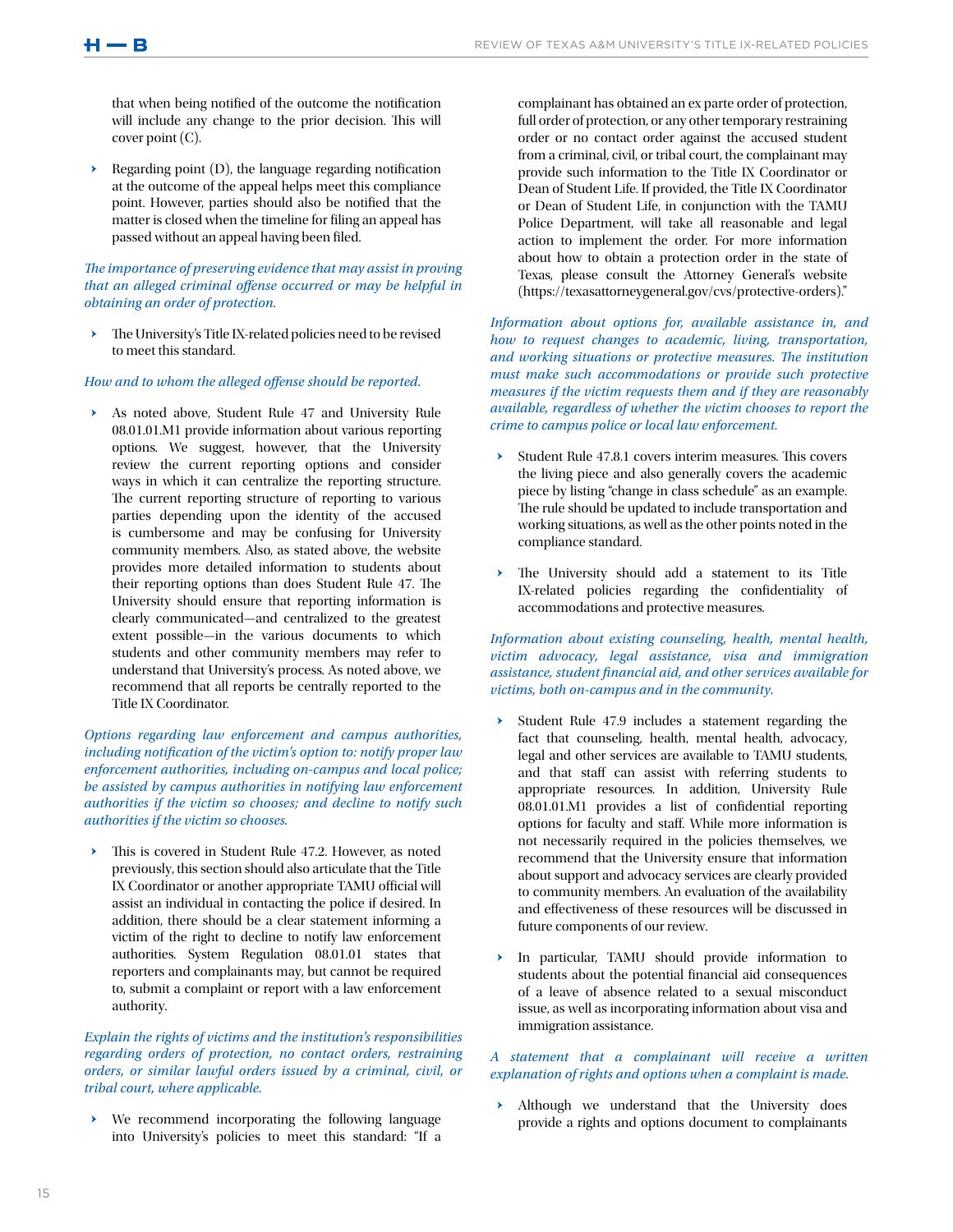that when being notified of the outcome the notification will include any change to the prior decision. This will cover point (C).

Regarding point (D), the language regarding notification at the outcome of the appeal helps meet this compliance point. However, parties should also be notified that the matter is closed when the timeline for filing an appeal has passed without an appeal having been filed.

*The importance of preserving evidence that may assist in proving that an alleged criminal offense occurred or may be helpful in obtaining an order of protection.*

The University's Title IX-related policies need to be revised to meet this standard.

#### *How and to whom the alleged offense should be reported.*

As noted above, Student Rule 47 and University Rule 08.01.01.M1 provide information about various reporting options. We suggest, however, that the University review the current reporting options and consider ways in which it can centralize the reporting structure. The current reporting structure of reporting to various parties depending upon the identity of the accused is cumbersome and may be confusing for University community members. Also, as stated above, the website provides more detailed information to students about their reporting options than does Student Rule 47. The University should ensure that reporting information is clearly communicated—and centralized to the greatest extent possible—in the various documents to which students and other community members may refer to understand that University's process. As noted above, we recommend that all reports be centrally reported to the Title IX Coordinator.

*Options regarding law enforcement and campus authorities, including notification of the victim's option to: notify proper law enforcement authorities, including on-campus and local police; be assisted by campus authorities in notifying law enforcement authorities if the victim so chooses; and decline to notify such authorities if the victim so chooses.*

This is covered in Student Rule 47.2. However, as noted previously, this section should also articulate that the Title IX Coordinator or another appropriate TAMU official will assist an individual in contacting the police if desired. In addition, there should be a clear statement informing a victim of the right to decline to notify law enforcement authorities. System Regulation 08.01.01 states that reporters and complainants may, but cannot be required to, submit a complaint or report with a law enforcement authority.

### *Explain the rights of victims and the institution's responsibilities regarding orders of protection, no contact orders, restraining orders, or similar lawful orders issued by a criminal, civil, or tribal court, where applicable.*

 $\rightarrow$  We recommend incorporating the following language into University's policies to meet this standard: "If a complainant has obtained an ex parte order of protection, full order of protection, or any other temporary restraining order or no contact order against the accused student from a criminal, civil, or tribal court, the complainant may provide such information to the Title IX Coordinator or Dean of Student Life. If provided, the Title IX Coordinator or Dean of Student Life, in conjunction with the TAMU Police Department, will take all reasonable and legal action to implement the order. For more information about how to obtain a protection order in the state of Texas, please consult the Attorney General's website (https://texasattorneygeneral.gov/cvs/protective-orders)."

*Information about options for, available assistance in, and how to request changes to academic, living, transportation, and working situations or protective measures. The institution must make such accommodations or provide such protective measures if the victim requests them and if they are reasonably available, regardless of whether the victim chooses to report the crime to campus police or local law enforcement.*

- Student Rule 47.8.1 covers interim measures. This covers the living piece and also generally covers the academic piece by listing "change in class schedule" as an example. The rule should be updated to include transportation and working situations, as well as the other points noted in the compliance standard.
- The University should add a statement to its Title IX-related policies regarding the confidentiality of accommodations and protective measures.

### *Information about existing counseling, health, mental health, victim advocacy, legal assistance, visa and immigration assistance, student financial aid, and other services available for victims, both on-campus and in the community.*

- Student Rule 47.9 includes a statement regarding the fact that counseling, health, mental health, advocacy, legal and other services are available to TAMU students, and that staff can assist with referring students to appropriate resources. In addition, University Rule 08.01.01.M1 provides a list of confidential reporting options for faculty and staff. While more information is not necessarily required in the policies themselves, we recommend that the University ensure that information about support and advocacy services are clearly provided to community members. An evaluation of the availability and effectiveness of these resources will be discussed in future components of our review.
- In particular, TAMU should provide information to students about the potential financial aid consequences of a leave of absence related to a sexual misconduct issue, as well as incorporating information about visa and immigration assistance.

## *A statement that a complainant will receive a written explanation of rights and options when a complaint is made.*

Although we understand that the University does provide a rights and options document to complainants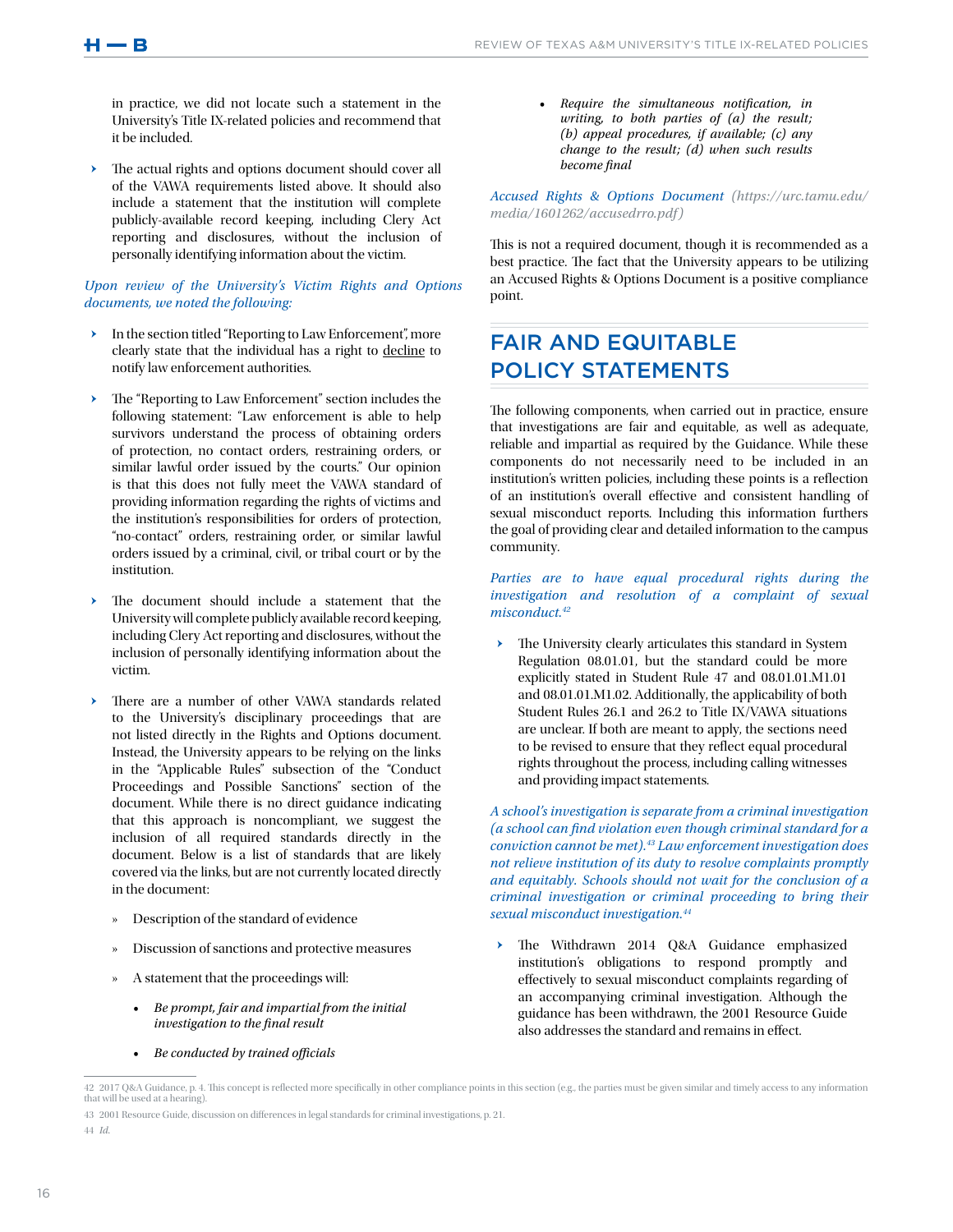in practice, we did not locate such a statement in the University's Title IX-related policies and recommend that it be included.

The actual rights and options document should cover all of the VAWA requirements listed above. It should also include a statement that the institution will complete publicly-available record keeping, including Clery Act reporting and disclosures, without the inclusion of personally identifying information about the victim.

#### *Upon review of the University's Victim Rights and Options documents, we noted the following:*

- > In the section titled "Reporting to Law Enforcement", more clearly state that the individual has a right to decline to notify law enforcement authorities.
- ǃ The "Reporting to Law Enforcement" section includes the following statement: "Law enforcement is able to help survivors understand the process of obtaining orders of protection, no contact orders, restraining orders, or similar lawful order issued by the courts." Our opinion is that this does not fully meet the VAWA standard of providing information regarding the rights of victims and the institution's responsibilities for orders of protection, "no-contact" orders, restraining order, or similar lawful orders issued by a criminal, civil, or tribal court or by the institution.
- The document should include a statement that the University will complete publicly available record keeping, including Clery Act reporting and disclosures, without the inclusion of personally identifying information about the victim.
- There are a number of other VAWA standards related to the University's disciplinary proceedings that are not listed directly in the Rights and Options document. Instead, the University appears to be relying on the links in the "Applicable Rules" subsection of the "Conduct Proceedings and Possible Sanctions" section of the document. While there is no direct guidance indicating that this approach is noncompliant, we suggest the inclusion of all required standards directly in the document. Below is a list of standards that are likely covered via the links, but are not currently located directly in the document:
	- » Description of the standard of evidence
	- » Discussion of sanctions and protective measures
	- » A statement that the proceedings will:
		- *• Be prompt, fair and impartial from the initial investigation to the final result*
		- *• Be conducted by trained officials*

*• Require the simultaneous notification, in writing, to both parties of (a) the result; (b) appeal procedures, if available; (c) any change to the result; (d) when such results become final*

*Accused Rights & Options Document (https://urc.tamu.edu/ media/1601262/accusedrro.pdf)*

This is not a required document, though it is recommended as a best practice. The fact that the University appears to be utilizing an Accused Rights & Options Document is a positive compliance point.

## FAIR AND EQUITABLE POLICY STATEMENTS

The following components, when carried out in practice, ensure that investigations are fair and equitable, as well as adequate, reliable and impartial as required by the Guidance. While these components do not necessarily need to be included in an institution's written policies, including these points is a reflection of an institution's overall effective and consistent handling of sexual misconduct reports. Including this information furthers the goal of providing clear and detailed information to the campus community.

*Parties are to have equal procedural rights during the investigation and resolution of a complaint of sexual misconduct.42*

The University clearly articulates this standard in System Regulation 08.01.01, but the standard could be more explicitly stated in Student Rule 47 and 08.01.01.M1.01 and 08.01.01.M1.02. Additionally, the applicability of both Student Rules 26.1 and 26.2 to Title IX/VAWA situations are unclear. If both are meant to apply, the sections need to be revised to ensure that they reflect equal procedural rights throughout the process, including calling witnesses and providing impact statements.

*A school's investigation is separate from a criminal investigation (a school can find violation even though criminal standard for a conviction cannot be met).43 Law enforcement investigation does not relieve institution of its duty to resolve complaints promptly and equitably. Schools should not wait for the conclusion of a criminal investigation or criminal proceeding to bring their sexual misconduct investigation.44*

ǃ The Withdrawn 2014 Q&A Guidance emphasized institution's obligations to respond promptly and effectively to sexual misconduct complaints regarding of an accompanying criminal investigation. Although the guidance has been withdrawn, the 2001 Resource Guide also addresses the standard and remains in effect.

43 2001 Resource Guide, discussion on differences in legal standards for criminal investigations, p. 21.

44 *Id.*

<sup>42 2017</sup> Q&A Guidance, p. 4. This concept is reflected more specifically in other compliance points in this section (e.g., the parties must be given similar and timely access to any information that will be used at a hearing).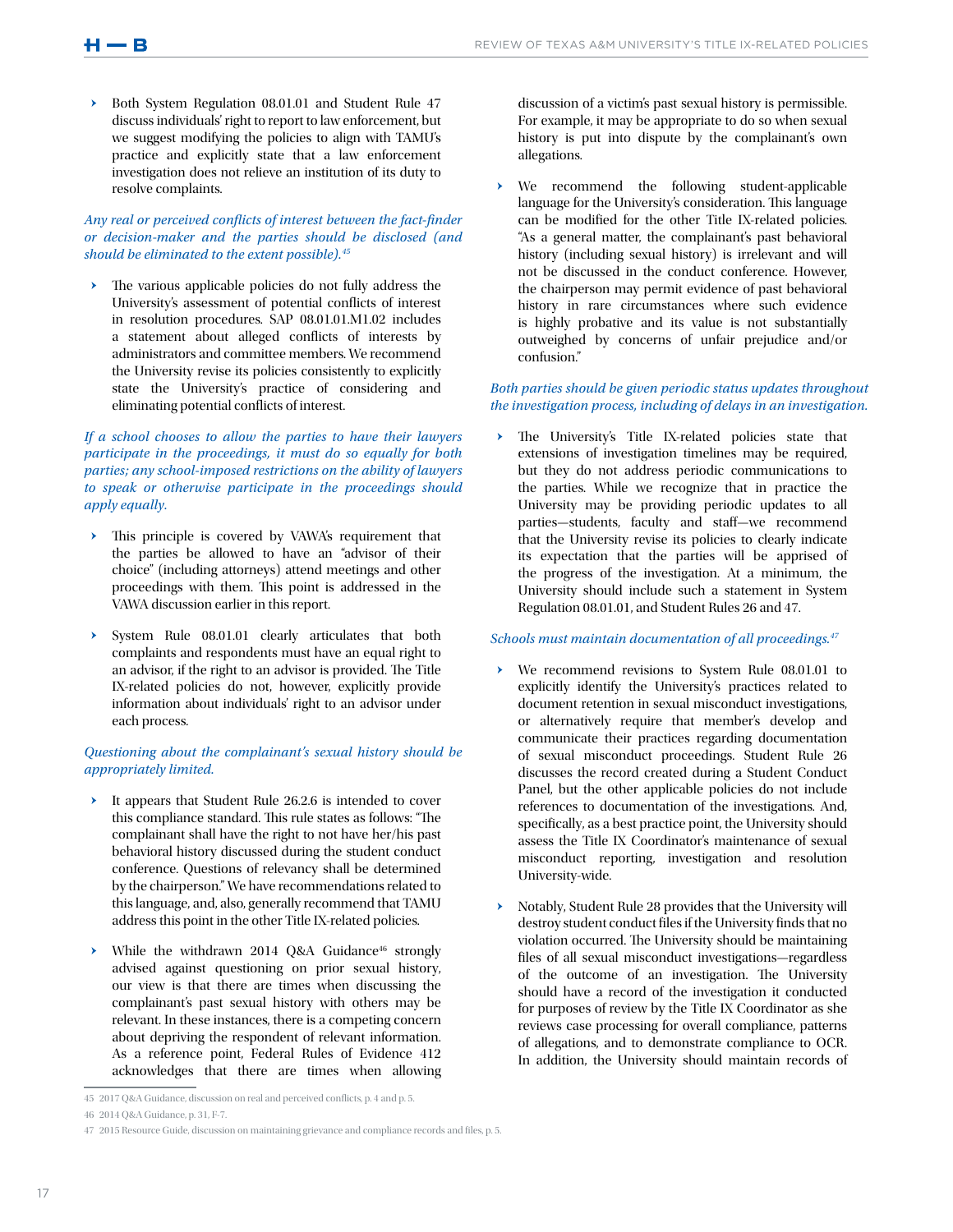Both System Regulation 08.01.01 and Student Rule 47 discuss individuals' right to report to law enforcement, but we suggest modifying the policies to align with TAMU's practice and explicitly state that a law enforcement investigation does not relieve an institution of its duty to resolve complaints.

## *Any real or perceived conflicts of interest between the fact-finder or decision-maker and the parties should be disclosed (and should be eliminated to the extent possible).45*

> The various applicable policies do not fully address the University's assessment of potential conflicts of interest in resolution procedures. SAP 08.01.01.M1.02 includes a statement about alleged conflicts of interests by administrators and committee members. We recommend the University revise its policies consistently to explicitly state the University's practice of considering and eliminating potential conflicts of interest.

*If a school chooses to allow the parties to have their lawyers participate in the proceedings, it must do so equally for both parties; any school-imposed restrictions on the ability of lawyers to speak or otherwise participate in the proceedings should apply equally.*

- > This principle is covered by VAWA's requirement that the parties be allowed to have an "advisor of their choice" (including attorneys) attend meetings and other proceedings with them. This point is addressed in the VAWA discussion earlier in this report.
- System Rule 08.01.01 clearly articulates that both complaints and respondents must have an equal right to an advisor, if the right to an advisor is provided. The Title IX-related policies do not, however, explicitly provide information about individuals' right to an advisor under each process.

## *Questioning about the complainant's sexual history should be appropriately limited.*

- It appears that Student Rule 26.2.6 is intended to cover this compliance standard. This rule states as follows: "The complainant shall have the right to not have her/his past behavioral history discussed during the student conduct conference. Questions of relevancy shall be determined by the chairperson." We have recommendations related to this language, and, also, generally recommend that TAMU address this point in the other Title IX-related policies.
- While the withdrawn 2014 Q&A Guidance<sup>46</sup> strongly advised against questioning on prior sexual history, our view is that there are times when discussing the complainant's past sexual history with others may be relevant. In these instances, there is a competing concern about depriving the respondent of relevant information. As a reference point, Federal Rules of Evidence 412 acknowledges that there are times when allowing

discussion of a victim's past sexual history is permissible. For example, it may be appropriate to do so when sexual history is put into dispute by the complainant's own allegations.

We recommend the following student-applicable language for the University's consideration. This language can be modified for the other Title IX-related policies. "As a general matter, the complainant's past behavioral history (including sexual history) is irrelevant and will not be discussed in the conduct conference. However, the chairperson may permit evidence of past behavioral history in rare circumstances where such evidence is highly probative and its value is not substantially outweighed by concerns of unfair prejudice and/or confusion."

### *Both parties should be given periodic status updates throughout the investigation process, including of delays in an investigation.*

> The University's Title IX-related policies state that extensions of investigation timelines may be required, but they do not address periodic communications to the parties. While we recognize that in practice the University may be providing periodic updates to all parties—students, faculty and staff—we recommend that the University revise its policies to clearly indicate its expectation that the parties will be apprised of the progress of the investigation. At a minimum, the University should include such a statement in System Regulation 08.01.01, and Student Rules 26 and 47.

## *Schools must maintain documentation of all proceedings.47*

- We recommend revisions to System Rule 08.01.01 to explicitly identify the University's practices related to document retention in sexual misconduct investigations, or alternatively require that member's develop and communicate their practices regarding documentation of sexual misconduct proceedings. Student Rule 26 discusses the record created during a Student Conduct Panel, but the other applicable policies do not include references to documentation of the investigations. And, specifically, as a best practice point, the University should assess the Title IX Coordinator's maintenance of sexual misconduct reporting, investigation and resolution University-wide.
- Notably, Student Rule 28 provides that the University will destroy student conduct files if the University finds that no violation occurred. The University should be maintaining files of all sexual misconduct investigations—regardless of the outcome of an investigation. The University should have a record of the investigation it conducted for purposes of review by the Title IX Coordinator as she reviews case processing for overall compliance, patterns of allegations, and to demonstrate compliance to OCR. In addition, the University should maintain records of

<sup>45</sup> 2017 Q&A Guidance, discussion on real and perceived conflicts, p. 4 and p. 5.

<sup>46</sup> 2014 Q&A Guidance, p. 31, F-7.

<sup>47</sup> 2015 Resource Guide, discussion on maintaining grievance and compliance records and files, p. 5.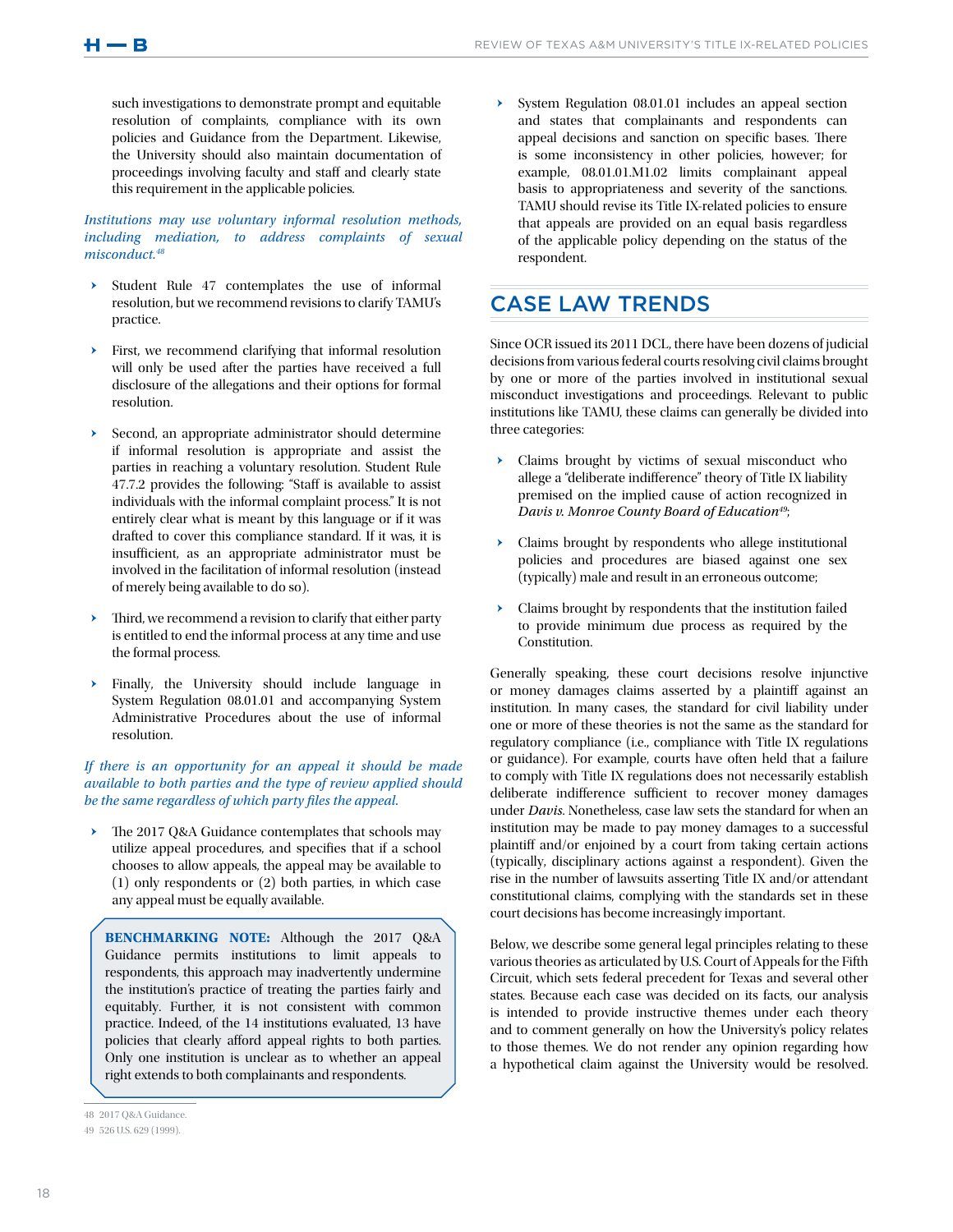such investigations to demonstrate prompt and equitable resolution of complaints, compliance with its own policies and Guidance from the Department. Likewise, the University should also maintain documentation of proceedings involving faculty and staff and clearly state this requirement in the applicable policies.

## *Institutions may use voluntary informal resolution methods, including mediation, to address complaints of sexual misconduct.48*

- Student Rule 47 contemplates the use of informal resolution, but we recommend revisions to clarify TAMU's practice.
- First, we recommend clarifying that informal resolution will only be used after the parties have received a full disclosure of the allegations and their options for formal resolution.
- Second, an appropriate administrator should determine if informal resolution is appropriate and assist the parties in reaching a voluntary resolution. Student Rule 47.7.2 provides the following: "Staff is available to assist individuals with the informal complaint process." It is not entirely clear what is meant by this language or if it was drafted to cover this compliance standard. If it was, it is insufficient, as an appropriate administrator must be involved in the facilitation of informal resolution (instead of merely being available to do so).
- Third, we recommend a revision to clarify that either party is entitled to end the informal process at any time and use the formal process.
- Finally, the University should include language in System Regulation 08.01.01 and accompanying System Administrative Procedures about the use of informal resolution.

*If there is an opportunity for an appeal it should be made available to both parties and the type of review applied should be the same regardless of which party files the appeal.* 

The 2017 Q&A Guidance contemplates that schools may utilize appeal procedures, and specifies that if a school chooses to allow appeals, the appeal may be available to (1) only respondents or (2) both parties, in which case any appeal must be equally available.

**BENCHMARKING NOTE:** Although the 2017 Q&A Guidance permits institutions to limit appeals to respondents, this approach may inadvertently undermine the institution's practice of treating the parties fairly and equitably. Further, it is not consistent with common practice. Indeed, of the 14 institutions evaluated, 13 have policies that clearly afford appeal rights to both parties. Only one institution is unclear as to whether an appeal right extends to both complainants and respondents.

System Regulation 08.01.01 includes an appeal section and states that complainants and respondents can appeal decisions and sanction on specific bases. There is some inconsistency in other policies, however; for example, 08.01.01.M1.02 limits complainant appeal basis to appropriateness and severity of the sanctions. TAMU should revise its Title IX-related policies to ensure that appeals are provided on an equal basis regardless of the applicable policy depending on the status of the respondent.

## CASE LAW TRENDS

Since OCR issued its 2011 DCL, there have been dozens of judicial decisions from various federal courts resolving civil claims brought by one or more of the parties involved in institutional sexual misconduct investigations and proceedings. Relevant to public institutions like TAMU, these claims can generally be divided into three categories:

- Claims brought by victims of sexual misconduct who allege a "deliberate indifference" theory of Title IX liability premised on the implied cause of action recognized in *Davis v. Monroe County Board of Education49*;
- $\rightarrow$  Claims brought by respondents who allege institutional policies and procedures are biased against one sex (typically) male and result in an erroneous outcome;
- Claims brought by respondents that the institution failed to provide minimum due process as required by the Constitution.

Generally speaking, these court decisions resolve injunctive or money damages claims asserted by a plaintiff against an institution. In many cases, the standard for civil liability under one or more of these theories is not the same as the standard for regulatory compliance (i.e., compliance with Title IX regulations or guidance). For example, courts have often held that a failure to comply with Title IX regulations does not necessarily establish deliberate indifference sufficient to recover money damages under *Davis*. Nonetheless, case law sets the standard for when an institution may be made to pay money damages to a successful plaintiff and/or enjoined by a court from taking certain actions (typically, disciplinary actions against a respondent). Given the rise in the number of lawsuits asserting Title IX and/or attendant constitutional claims, complying with the standards set in these court decisions has become increasingly important.

Below, we describe some general legal principles relating to these various theories as articulated by U.S. Court of Appeals for the Fifth Circuit, which sets federal precedent for Texas and several other states. Because each case was decided on its facts, our analysis is intended to provide instructive themes under each theory and to comment generally on how the University's policy relates to those themes. We do not render any opinion regarding how a hypothetical claim against the University would be resolved.

<sup>48</sup> 2017 Q&A Guidance.

<sup>49</sup> 526 U.S. 629 (1999).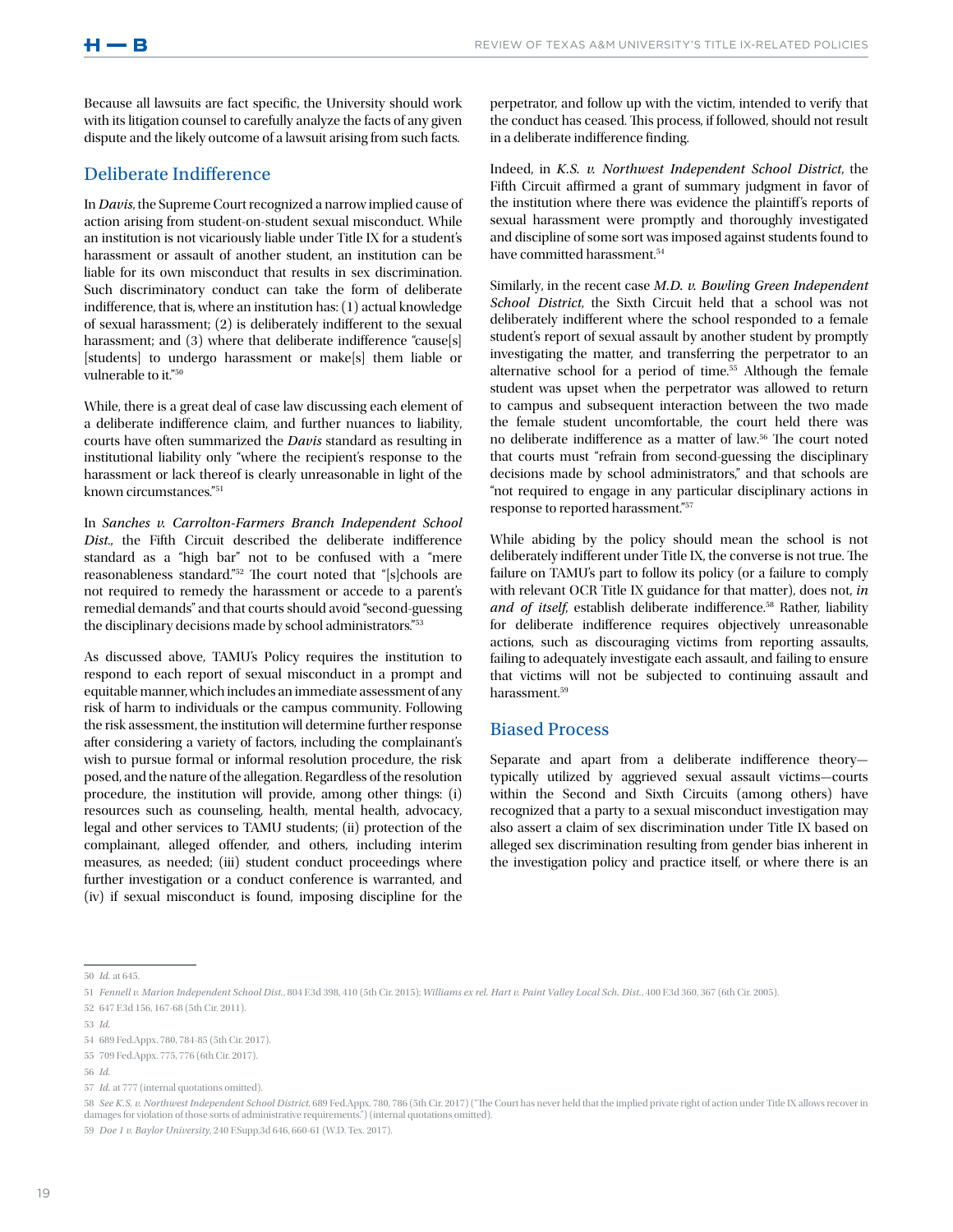Because all lawsuits are fact specific, the University should work with its litigation counsel to carefully analyze the facts of any given dispute and the likely outcome of a lawsuit arising from such facts.

## Deliberate Indifference

In *Davis*, the Supreme Court recognized a narrow implied cause of action arising from student-on-student sexual misconduct. While an institution is not vicariously liable under Title IX for a student's harassment or assault of another student, an institution can be liable for its own misconduct that results in sex discrimination. Such discriminatory conduct can take the form of deliberate indifference, that is, where an institution has: (1) actual knowledge of sexual harassment; (2) is deliberately indifferent to the sexual harassment; and (3) where that deliberate indifference "cause[s] [students] to undergo harassment or make[s] them liable or vulnerable to it."50

While, there is a great deal of case law discussing each element of a deliberate indifference claim, and further nuances to liability, courts have often summarized the *Davis* standard as resulting in institutional liability only "where the recipient's response to the harassment or lack thereof is clearly unreasonable in light of the known circumstances."51

In *Sanches v. Carrolton-Farmers Branch Independent School Dist*., the Fifth Circuit described the deliberate indifference standard as a "high bar" not to be confused with a "mere reasonableness standard."52 The court noted that "[s]chools are not required to remedy the harassment or accede to a parent's remedial demands" and that courts should avoid "second-guessing the disciplinary decisions made by school administrators."53

As discussed above, TAMU's Policy requires the institution to respond to each report of sexual misconduct in a prompt and equitable manner, which includes an immediate assessment of any risk of harm to individuals or the campus community. Following the risk assessment, the institution will determine further response after considering a variety of factors, including the complainant's wish to pursue formal or informal resolution procedure, the risk posed, and the nature of the allegation. Regardless of the resolution procedure, the institution will provide, among other things: (i) resources such as counseling, health, mental health, advocacy, legal and other services to TAMU students; (ii) protection of the complainant, alleged offender, and others, including interim measures, as needed; (iii) student conduct proceedings where further investigation or a conduct conference is warranted, and (iv) if sexual misconduct is found, imposing discipline for the

perpetrator, and follow up with the victim, intended to verify that the conduct has ceased. This process, if followed, should not result in a deliberate indifference finding.

Indeed, in *K.S. v. Northwest Independent School District*, the Fifth Circuit affirmed a grant of summary judgment in favor of the institution where there was evidence the plaintiff's reports of sexual harassment were promptly and thoroughly investigated and discipline of some sort was imposed against students found to have committed harassment.<sup>54</sup>

Similarly, in the recent case *M.D. v. Bowling Green Independent School District*, the Sixth Circuit held that a school was not deliberately indifferent where the school responded to a female student's report of sexual assault by another student by promptly investigating the matter, and transferring the perpetrator to an alternative school for a period of time.<sup>55</sup> Although the female student was upset when the perpetrator was allowed to return to campus and subsequent interaction between the two made the female student uncomfortable, the court held there was no deliberate indifference as a matter of law.56 The court noted that courts must "refrain from second-guessing the disciplinary decisions made by school administrators," and that schools are "not required to engage in any particular disciplinary actions in response to reported harassment."57

While abiding by the policy should mean the school is not deliberately indifferent under Title IX, the converse is not true. The failure on TAMU's part to follow its policy (or a failure to comply with relevant OCR Title IX guidance for that matter), does not, *in*  and of itself, establish deliberate indifference.<sup>58</sup> Rather, liability for deliberate indifference requires objectively unreasonable actions, such as discouraging victims from reporting assaults, failing to adequately investigate each assault, and failing to ensure that victims will not be subjected to continuing assault and harassment.59

## Biased Process

Separate and apart from a deliberate indifference theory typically utilized by aggrieved sexual assault victims—courts within the Second and Sixth Circuits (among others) have recognized that a party to a sexual misconduct investigation may also assert a claim of sex discrimination under Title IX based on alleged sex discrimination resulting from gender bias inherent in the investigation policy and practice itself, or where there is an

58 *See K.S. v. Northwest Independent School District*, 689 Fed.Appx. 780, 786 (5th Cir. 2017) ("The Court has never held that the implied private right of action under Title IX allows recover in damages for violation of those sorts of administrative requirements.") (internal quotations omitted).

59 *Doe 1 v. Baylor University*, 240 F.Supp.3d 646, 660-61 (W.D. Tex. 2017).

<sup>50</sup> *Id.* at 645.

<sup>51</sup> *Fennell v. Marion Independent School Dist.*, 804 F.3d 398, 410 (5th Cir. 2015); *Williams ex rel. Hart v. Paint Valley Local Sch. Dist.*, 400 F.3d 360, 367 (6th Cir. 2005).

<sup>52</sup> 647 F.3d 156, 167-68 (5th Cir. 2011).

<sup>53</sup> *Id.*

<sup>54</sup> 689 Fed.Appx. 780, 784-85 (5th Cir. 2017).

<sup>55</sup> 709 Fed.Appx. 775, 776 (6th Cir. 2017).

<sup>56</sup> *Id.*

<sup>57</sup> *Id.* at 777 (internal quotations omitted).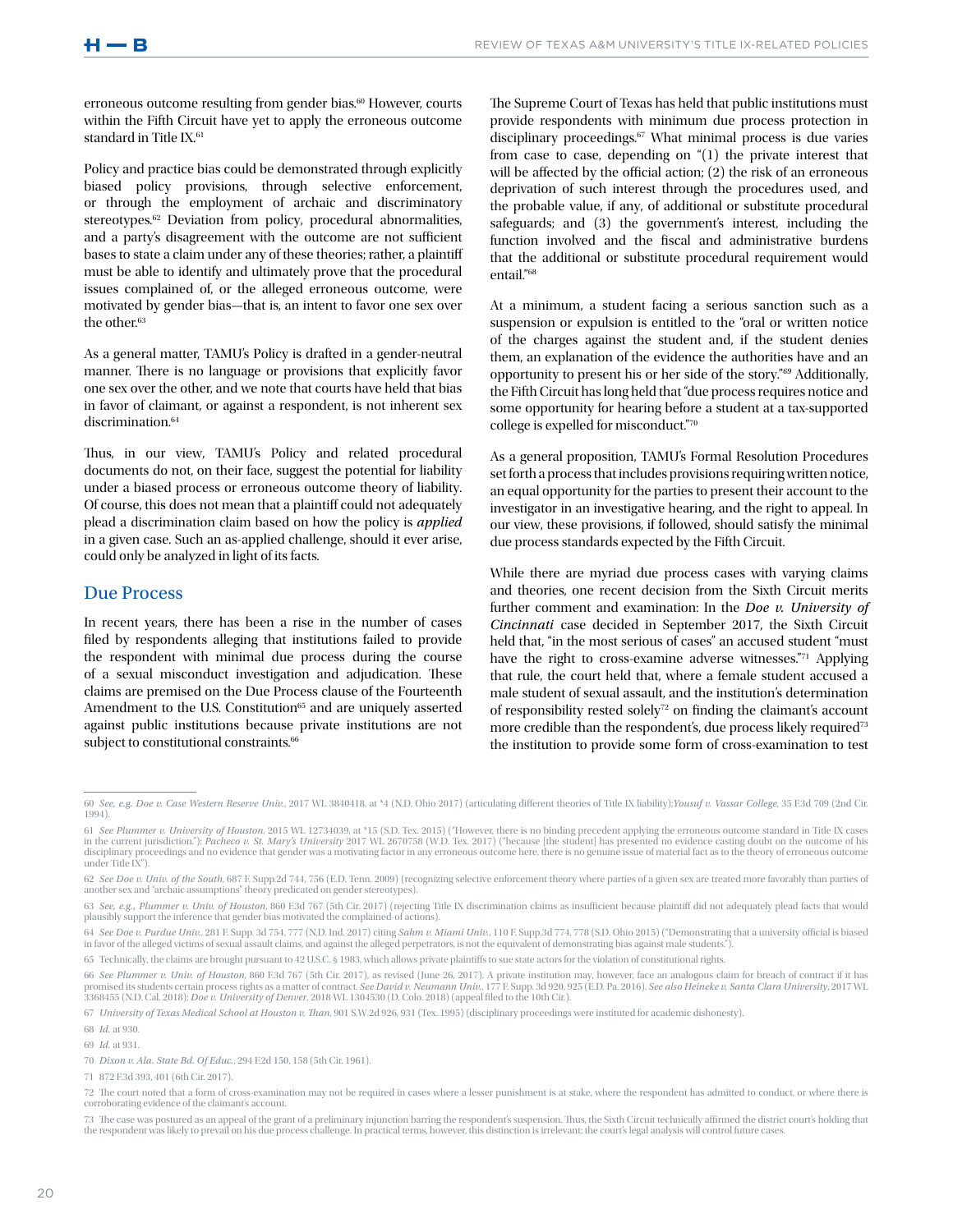erroneous outcome resulting from gender bias.<sup>60</sup> However, courts within the Fifth Circuit have yet to apply the erroneous outcome standard in Title IX.<sup>61</sup>

Policy and practice bias could be demonstrated through explicitly biased policy provisions, through selective enforcement, or through the employment of archaic and discriminatory stereotypes.<sup>62</sup> Deviation from policy, procedural abnormalities, and a party's disagreement with the outcome are not sufficient bases to state a claim under any of these theories; rather, a plaintiff must be able to identify and ultimately prove that the procedural issues complained of, or the alleged erroneous outcome, were motivated by gender bias—that is, an intent to favor one sex over the other. $\rm ^{63}$ 

As a general matter, TAMU's Policy is drafted in a gender-neutral manner. There is no language or provisions that explicitly favor one sex over the other, and we note that courts have held that bias in favor of claimant, or against a respondent, is not inherent sex discrimination.<sup>64</sup>

Thus, in our view, TAMU's Policy and related procedural documents do not, on their face, suggest the potential for liability under a biased process or erroneous outcome theory of liability. Of course, this does not mean that a plaintiff could not adequately plead a discrimination claim based on how the policy is *applied*  in a given case. Such an as-applied challenge, should it ever arise, could only be analyzed in light of its facts.

### Due Process

In recent years, there has been a rise in the number of cases filed by respondents alleging that institutions failed to provide the respondent with minimal due process during the course of a sexual misconduct investigation and adjudication. These claims are premised on the Due Process clause of the Fourteenth Amendment to the U.S. Constitution<sup>65</sup> and are uniquely asserted against public institutions because private institutions are not subject to constitutional constraints.<sup>66</sup>

The Supreme Court of Texas has held that public institutions must provide respondents with minimum due process protection in disciplinary proceedings.<sup>67</sup> What minimal process is due varies from case to case, depending on "(1) the private interest that will be affected by the official action; (2) the risk of an erroneous deprivation of such interest through the procedures used, and the probable value, if any, of additional or substitute procedural safeguards; and (3) the government's interest, including the function involved and the fiscal and administrative burdens that the additional or substitute procedural requirement would entail."68

At a minimum, a student facing a serious sanction such as a suspension or expulsion is entitled to the "oral or written notice of the charges against the student and, if the student denies them, an explanation of the evidence the authorities have and an opportunity to present his or her side of the story."*<sup>69</sup>* Additionally, the Fifth Circuit has long held that "due process requires notice and some opportunity for hearing before a student at a tax-supported college is expelled for misconduct."70

As a general proposition, TAMU's Formal Resolution Procedures set forth a process that includes provisions requiring written notice, an equal opportunity for the parties to present their account to the investigator in an investigative hearing, and the right to appeal. In our view, these provisions, if followed, should satisfy the minimal due process standards expected by the Fifth Circuit.

While there are myriad due process cases with varying claims and theories, one recent decision from the Sixth Circuit merits further comment and examination: In the *Doe v. University of Cincinnati* case decided in September 2017, the Sixth Circuit held that, "in the most serious of cases" an accused student "must have the right to cross-examine adverse witnesses."71 Applying that rule, the court held that, where a female student accused a male student of sexual assault, and the institution's determination of responsibility rested solely<sup>72</sup> on finding the claimant's account more credible than the respondent's, due process likely required<sup>73</sup> the institution to provide some form of cross-examination to test

67 *University of Texas Medical School at Houston v. Than*, 901 S.W.2d 926, 931 (Tex. 1995) (disciplinary proceedings were instituted for academic dishonesty).

68 *Id.* at 930.

<sup>60</sup> *See, e.g. Doe v. Case Western Reserve Univ.*, 2017 WL 3840418, at \*4 (N.D. Ohio 2017) (articulating different theories of Title IX liability);*Yousuf v. Vassar College*, 35 F.3d 709 (2nd Cir. 1994).

<sup>61</sup> *See Plummer v. University of Houston,* 2015 WL 12734039, at \*15 (S.D. Tex. 2015) ("However, there is no binding precedent applying the erroneous outcome standard in Title IX cases<br>in the current jurisdiction."); *Pache* disciplinary proceedings and no evidence that gender was a motivating factor in any erroneous outcome here, there is no genuine issue of material fact as to the theory of erroneous outcome under Title IX").

<sup>62</sup> See Doe v. Univ. of the South, 687 F. Supp.2d 744, 756 (E.D. Tenn. 2009) (recognizing selective enforcement theory where parties of a given sex are treated more favorably than parties of another sex and "archaic assumptions" theory predicated on gender stereotypes).

<sup>63</sup> *See, e.g., Plummer v. Univ. of Houston*, 860 F.3d 767 (5th Cir. 2017) (rejecting Title IX discrimination claims as insufficient because plaintiff did not adequately plead facts that would plausibly support the inference that gender bias motivated the complained-of actions).

<sup>64</sup> *See Doe v. Purdue Univ.*, 281 F. Supp. 3d 754, 777 (N.D. Ind. 2017) citing *Sahm v. Miami Univ.*, 110 F. Supp.3d 774, 778 (S.D. Ohio 2015) ("Demonstrating that a university official is biased in favor of the alleged victims of sexual assault claims, and against the alleged perpetrators, is not the equivalent of demonstrating bias against male students.").

<sup>65</sup> Technically, the claims are brought pursuant to 42 U.S.C. § 1983, which allows private plaintiffs to sue state actors for the violation of constitutional rights.

<sup>66</sup> *See Plummer v. Univ. of Houston,* 860 E3d 767 (5th Cir. 2017), as revised (June 26, 2017). A private institution may, however, face an analogous claim for breach of contract if it has<br>promised its students certain proc 3368455 (N.D. Cal. 2018); *Doe v. University of Denver*, 2018 WL 1304530 (D. Colo. 2018) (appeal filed to the 10th Cir.).

<sup>69</sup> *Id.* at 931.

<sup>70</sup> *Dixon v. Ala. State Bd. Of Educ.*, 294 F.2d 150, 158 (5th Cir. 1961).

<sup>71</sup> 872 F.3d 393, 401 (6th Cir. 2017).

<sup>72</sup> The court noted that a form of cross-examination may not be required in cases where a lesser punishment is at stake, where the respondent has admitted to conduct, or where there is corroborating evidence of the claimant's account.

<sup>73</sup> The case was postured as an appeal of the grant of a preliminary injunction barring the respondent's suspension. Thus, the Sixth Circuit technically affirmed the district court's holding that the respondent was likely to prevail on his due process challenge. In practical terms, however, this distinction is irrelevant; the court's legal analysis will control future case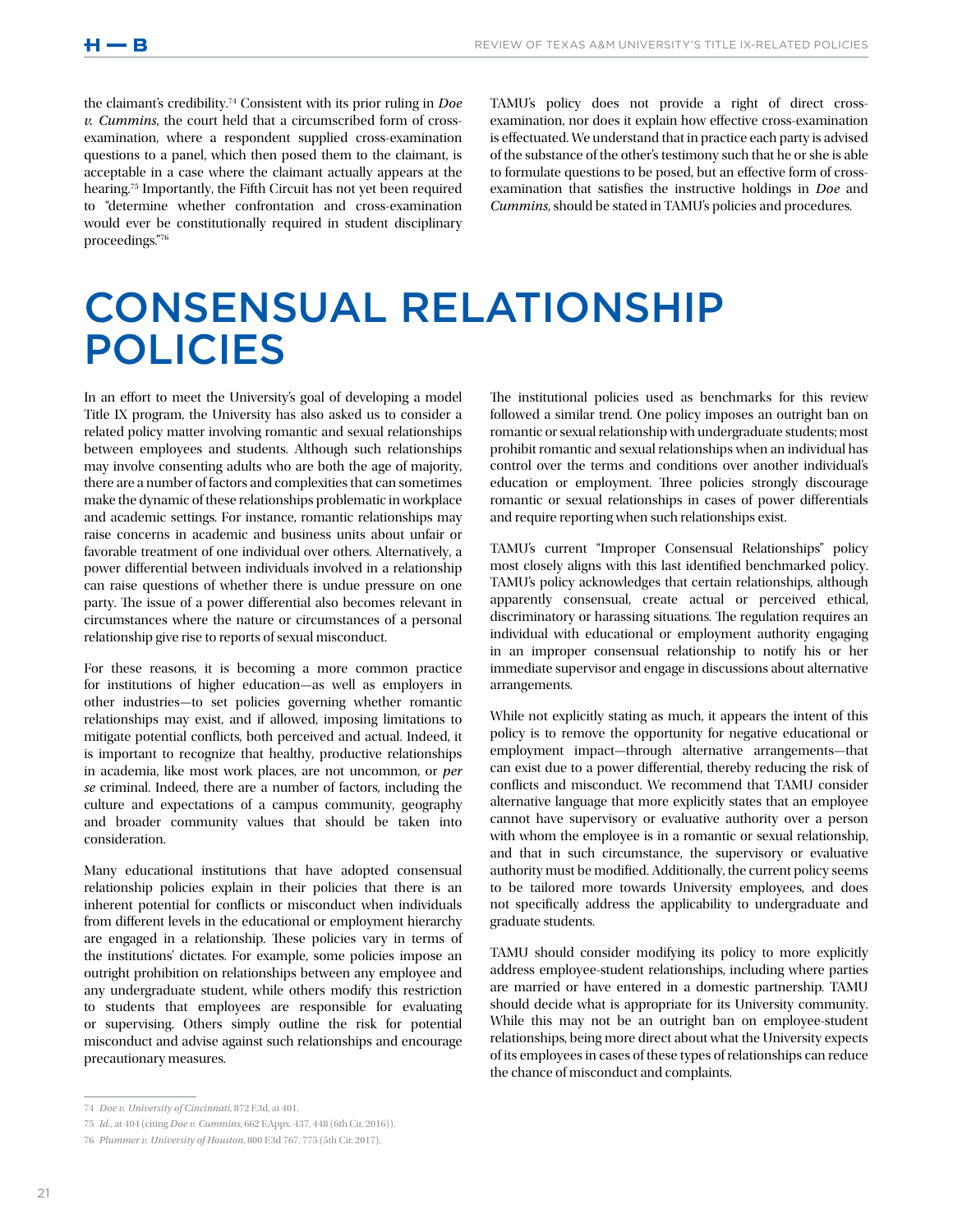the claimant's credibility.74 Consistent with its prior ruling in *Doe v. Cummins*, the court held that a circumscribed form of crossexamination, where a respondent supplied cross-examination questions to a panel, which then posed them to the claimant, is acceptable in a case where the claimant actually appears at the hearing.75 Importantly, the Fifth Circuit has not yet been required to "determine whether confrontation and cross-examination would ever be constitutionally required in student disciplinary proceedings."76

TAMU's policy does not provide a right of direct crossexamination, nor does it explain how effective cross-examination is effectuated. We understand that in practice each party is advised of the substance of the other's testimony such that he or she is able to formulate questions to be posed, but an effective form of crossexamination that satisfies the instructive holdings in *Doe* and *Cummins*, should be stated in TAMU's policies and procedures.

## CONSENSUAL RELATIONSHIP POLICIES

In an effort to meet the University's goal of developing a model Title IX program, the University has also asked us to consider a related policy matter involving romantic and sexual relationships between employees and students. Although such relationships may involve consenting adults who are both the age of majority, there are a number of factors and complexities that can sometimes make the dynamic of these relationships problematic in workplace and academic settings. For instance, romantic relationships may raise concerns in academic and business units about unfair or favorable treatment of one individual over others. Alternatively, a power differential between individuals involved in a relationship can raise questions of whether there is undue pressure on one party. The issue of a power differential also becomes relevant in circumstances where the nature or circumstances of a personal relationship give rise to reports of sexual misconduct.

For these reasons, it is becoming a more common practice for institutions of higher education—as well as employers in other industries—to set policies governing whether romantic relationships may exist, and if allowed, imposing limitations to mitigate potential conflicts, both perceived and actual. Indeed, it is important to recognize that healthy, productive relationships in academia, like most work places, are not uncommon, or *per se* criminal. Indeed, there are a number of factors, including the culture and expectations of a campus community, geography and broader community values that should be taken into consideration.

Many educational institutions that have adopted consensual relationship policies explain in their policies that there is an inherent potential for conflicts or misconduct when individuals from different levels in the educational or employment hierarchy are engaged in a relationship. These policies vary in terms of the institutions' dictates. For example, some policies impose an outright prohibition on relationships between any employee and any undergraduate student, while others modify this restriction to students that employees are responsible for evaluating or supervising. Others simply outline the risk for potential misconduct and advise against such relationships and encourage precautionary measures.

The institutional policies used as benchmarks for this review followed a similar trend. One policy imposes an outright ban on romantic or sexual relationship with undergraduate students; most prohibit romantic and sexual relationships when an individual has control over the terms and conditions over another individual's education or employment. Three policies strongly discourage romantic or sexual relationships in cases of power differentials and require reporting when such relationships exist.

TAMU's current "Improper Consensual Relationships" policy most closely aligns with this last identified benchmarked policy. TAMU's policy acknowledges that certain relationships, although apparently consensual, create actual or perceived ethical, discriminatory or harassing situations. The regulation requires an individual with educational or employment authority engaging in an improper consensual relationship to notify his or her immediate supervisor and engage in discussions about alternative arrangements.

While not explicitly stating as much, it appears the intent of this policy is to remove the opportunity for negative educational or employment impact—through alternative arrangements—that can exist due to a power differential, thereby reducing the risk of conflicts and misconduct. We recommend that TAMU consider alternative language that more explicitly states that an employee cannot have supervisory or evaluative authority over a person with whom the employee is in a romantic or sexual relationship, and that in such circumstance, the supervisory or evaluative authority must be modified. Additionally, the current policy seems to be tailored more towards University employees, and does not specifically address the applicability to undergraduate and graduate students.

TAMU should consider modifying its policy to more explicitly address employee-student relationships, including where parties are married or have entered in a domestic partnership. TAMU should decide what is appropriate for its University community. While this may not be an outright ban on employee-student relationships, being more direct about what the University expects of its employees in cases of these types of relationships can reduce the chance of misconduct and complaints.

<sup>74</sup> *Doe v. University of Cincinnati*, 872 F.3d, at 401.

<sup>75</sup> *Id.*, at 404 (citing *Doe v. Cummins*, 662 F.Appx. 437, 448 (6th Cir. 2016)).

<sup>76</sup> *Plummer v. University of Houston*, 800 F.3d 767, 775 (5th Cir. 2017).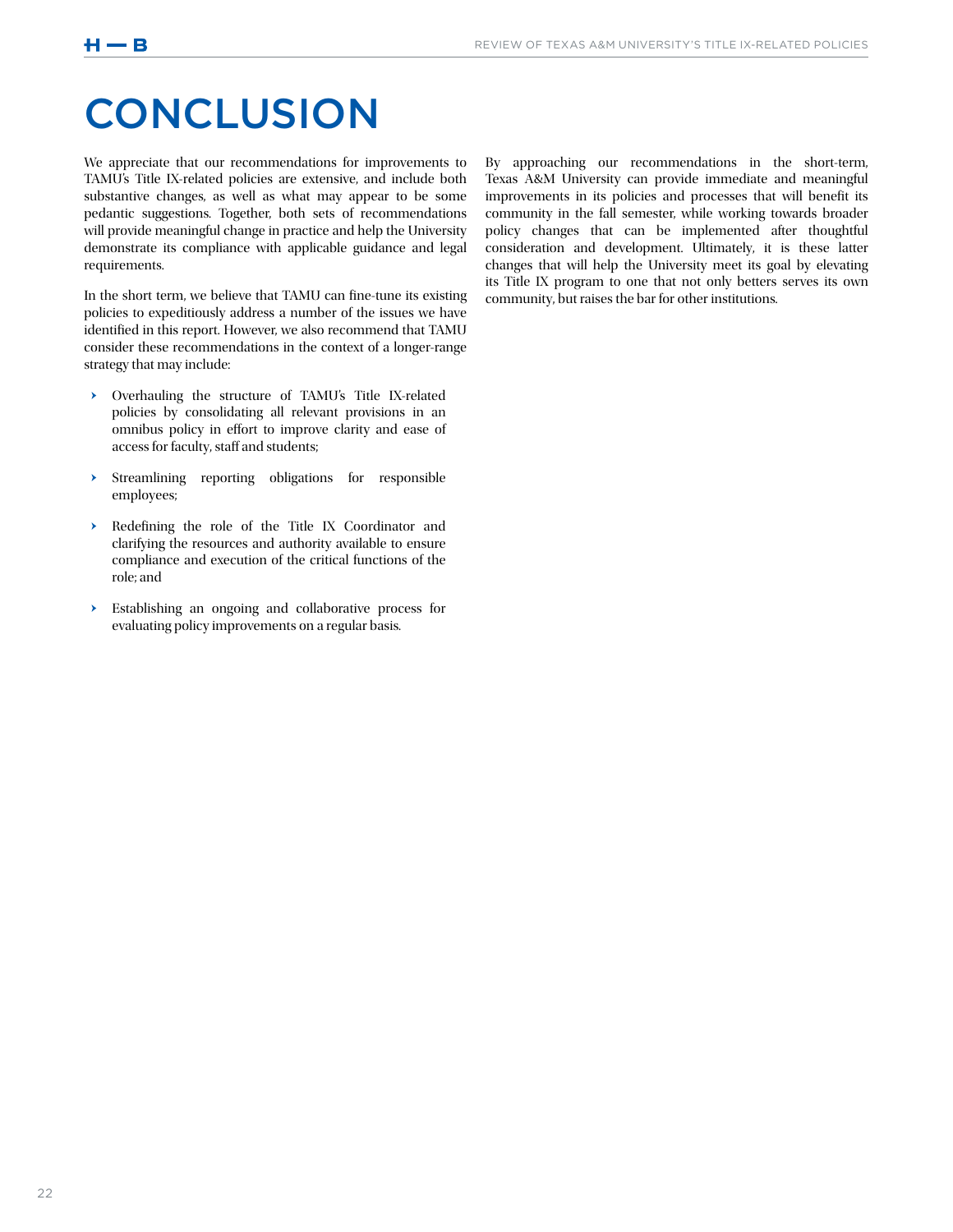## **CONCLUSION**

We appreciate that our recommendations for improvements to TAMU's Title IX-related policies are extensive, and include both substantive changes, as well as what may appear to be some pedantic suggestions. Together, both sets of recommendations will provide meaningful change in practice and help the University demonstrate its compliance with applicable guidance and legal requirements.

In the short term, we believe that TAMU can fine-tune its existing policies to expeditiously address a number of the issues we have identified in this report. However, we also recommend that TAMU consider these recommendations in the context of a longer-range strategy that may include:

- ǃ Overhauling the structure of TAMU's Title IX-related policies by consolidating all relevant provisions in an omnibus policy in effort to improve clarity and ease of access for faculty, staff and students;
- ǃ Streamlining reporting obligations for responsible employees;
- ǃ Redefining the role of the Title IX Coordinator and clarifying the resources and authority available to ensure compliance and execution of the critical functions of the role; and
- ǃ Establishing an ongoing and collaborative process for evaluating policy improvements on a regular basis.

By approaching our recommendations in the short-term, Texas A&M University can provide immediate and meaningful improvements in its policies and processes that will benefit its community in the fall semester, while working towards broader policy changes that can be implemented after thoughtful consideration and development. Ultimately, it is these latter changes that will help the University meet its goal by elevating its Title IX program to one that not only betters serves its own community, but raises the bar for other institutions.